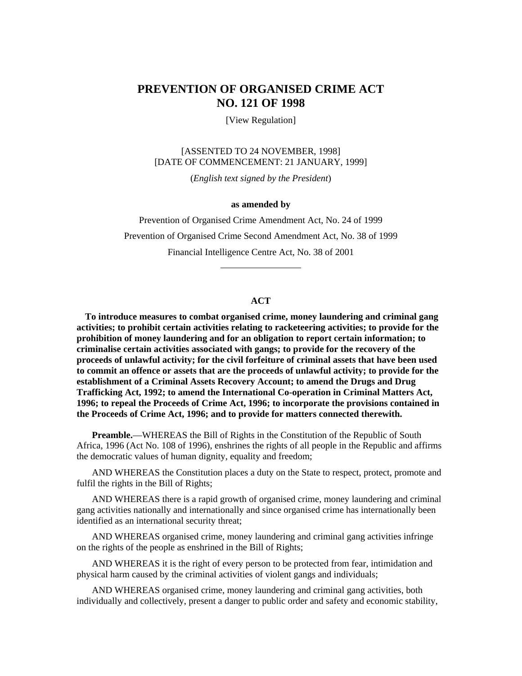# **PREVENTION OF ORGANISED CRIME ACT NO. 121 OF 1998**

[View Regulation]

[ASSENTED TO 24 NOVEMBER, 1998] [DATE OF COMMENCEMENT: 21 JANUARY, 1999]

(*English text signed by the President*)

## **as amended by**

Prevention of Organised Crime Amendment Act, No. 24 of 1999 Prevention of Organised Crime Second Amendment Act, No. 38 of 1999 Financial Intelligence Centre Act, No. 38 of 2001

# **ACT**

**To introduce measures to combat organised crime, money laundering and criminal gang activities; to prohibit certain activities relating to racketeering activities; to provide for the prohibition of money laundering and for an obligation to report certain information; to criminalise certain activities associated with gangs; to provide for the recovery of the proceeds of unlawful activity; for the civil forfeiture of criminal assets that have been used to commit an offence or assets that are the proceeds of unlawful activity; to provide for the establishment of a Criminal Assets Recovery Account; to amend the Drugs and Drug Trafficking Act, 1992; to amend the International Co-operation in Criminal Matters Act, 1996; to repeal the Proceeds of Crime Act, 1996; to incorporate the provisions contained in the Proceeds of Crime Act, 1996; and to provide for matters connected therewith.** 

**Preamble.**—WHEREAS the Bill of Rights in the Constitution of the Republic of South Africa, 1996 (Act No. 108 of 1996), enshrines the rights of all people in the Republic and affirms the democratic values of human dignity, equality and freedom;

AND WHEREAS the Constitution places a duty on the State to respect, protect, promote and fulfil the rights in the Bill of Rights;

AND WHEREAS there is a rapid growth of organised crime, money laundering and criminal gang activities nationally and internationally and since organised crime has internationally been identified as an international security threat;

AND WHEREAS organised crime, money laundering and criminal gang activities infringe on the rights of the people as enshrined in the Bill of Rights;

AND WHEREAS it is the right of every person to be protected from fear, intimidation and physical harm caused by the criminal activities of violent gangs and individuals;

AND WHEREAS organised crime, money laundering and criminal gang activities, both individually and collectively, present a danger to public order and safety and economic stability,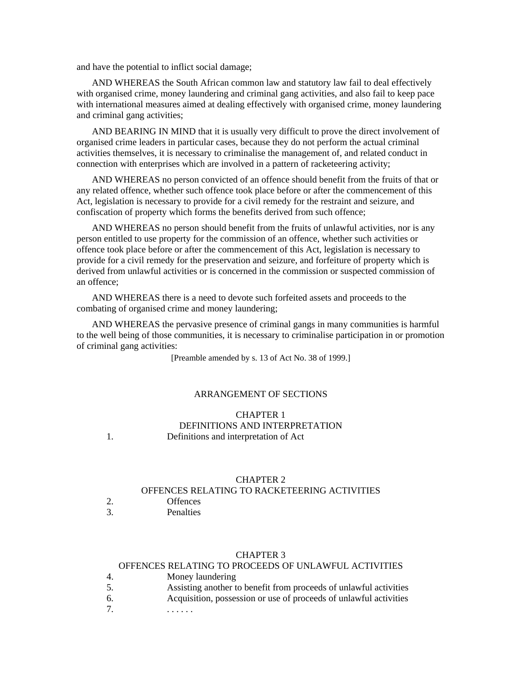and have the potential to inflict social damage;

AND WHEREAS the South African common law and statutory law fail to deal effectively with organised crime, money laundering and criminal gang activities, and also fail to keep pace with international measures aimed at dealing effectively with organised crime, money laundering and criminal gang activities;

AND BEARING IN MIND that it is usually very difficult to prove the direct involvement of organised crime leaders in particular cases, because they do not perform the actual criminal activities themselves, it is necessary to criminalise the management of, and related conduct in connection with enterprises which are involved in a pattern of racketeering activity;

AND WHEREAS no person convicted of an offence should benefit from the fruits of that or any related offence, whether such offence took place before or after the commencement of this Act, legislation is necessary to provide for a civil remedy for the restraint and seizure, and confiscation of property which forms the benefits derived from such offence;

AND WHEREAS no person should benefit from the fruits of unlawful activities, nor is any person entitled to use property for the commission of an offence, whether such activities or offence took place before or after the commencement of this Act, legislation is necessary to provide for a civil remedy for the preservation and seizure, and forfeiture of property which is derived from unlawful activities or is concerned in the commission or suspected commission of an offence;

AND WHEREAS there is a need to devote such forfeited assets and proceeds to the combating of organised crime and money laundering;

AND WHEREAS the pervasive presence of criminal gangs in many communities is harmful to the well being of those communities, it is necessary to criminalise participation in or promotion of criminal gang activities:

[Preamble amended by s. 13 of Act No. 38 of 1999.]

# ARRANGEMENT OF SECTIONS

# CHAPTER 1 DEFINITIONS AND INTERPRETATION 1. Definitions and interpretation of Act

#### CHAPTER 2

## OFFENCES RELATING TO RACKETEERING ACTIVITIES

- 2. Offences
- 3. Penalties

## CHAPTER 3

## OFFENCES RELATING TO PROCEEDS OF UNLAWFUL ACTIVITIES

- 4. Money laundering
- 5. Assisting another to benefit from proceeds of unlawful activities
- 6. Acquisition, possession or use of proceeds of unlawful activities
- 7. . . . . . .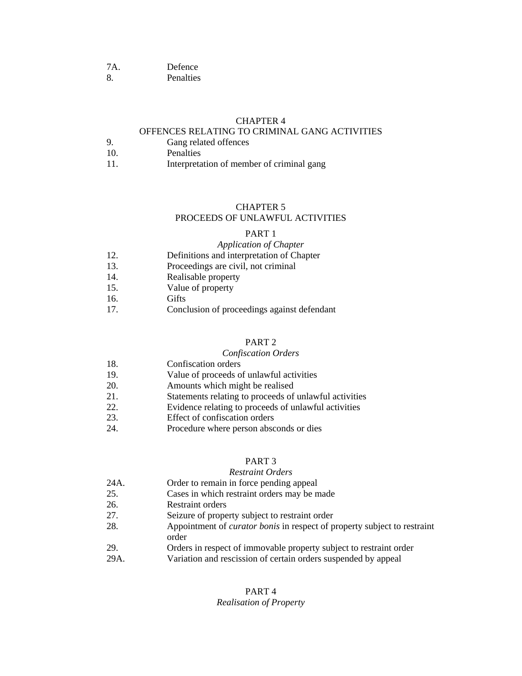| 7A. | Defence   |
|-----|-----------|
| 8.  | Penalties |

#### CHAPTER 4

# OFFENCES RELATING TO CRIMINAL GANG ACTIVITIES

- 9. Gang related offences
- 10. Penalties
- 11. Interpretation of member of criminal gang

# CHAPTER 5

# PROCEEDS OF UNLAWFUL ACTIVITIES

#### PART 1

# *Application of Chapter*

- 12. Definitions and interpretation of Chapter
- 13. Proceedings are civil, not criminal
- 14. Realisable property
- 15. Value of property
- 16. Gifts
- 17. Conclusion of proceedings against defendant

# PART 2

# *Confiscation Orders*

- 18. Confiscation orders
- 19. Value of proceeds of unlawful activities
- 20. Amounts which might be realised
- 21. Statements relating to proceeds of unlawful activities
- 22. Evidence relating to proceeds of unlawful activities
- 23. Effect of confiscation orders
- 24. Procedure where person absconds or dies

# PART 3

### *Restraint Orders*

| 24A. | Order to remain in force pending appeal                                                  |
|------|------------------------------------------------------------------------------------------|
| 25.  | Cases in which restraint orders may be made                                              |
| 26.  | Restraint orders                                                                         |
| 27.  | Seizure of property subject to restraint order                                           |
| 28.  | Appointment of <i>curator bonis</i> in respect of property subject to restraint<br>order |
| 29.  | Orders in respect of immovable property subject to restraint order                       |
| 29A. | Variation and rescission of certain orders suspended by appeal                           |

#### PART 4

#### *Realisation of Property*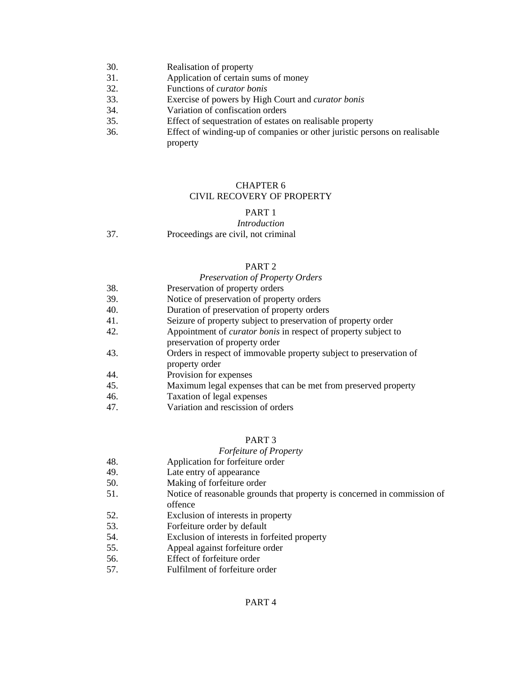- 30. Realisation of property
- 31. Application of certain sums of money
- 32. Functions of *curator bonis*
- 33. Exercise of powers by High Court and *curator bonis*
- 34. Variation of confiscation orders
- 35. Effect of sequestration of estates on realisable property
- 36. Effect of winding-up of companies or other juristic persons on realisable property

## CHAPTER 6

# CIVIL RECOVERY OF PROPERTY

# PART 1

## *Introduction*  37. Proceedings are civil, not criminal

# PART 2

#### *Preservation of Property Orders*

- 38. Preservation of property orders
- 39. Notice of preservation of property orders
- 40. Duration of preservation of property orders
- 41. Seizure of property subject to preservation of property order
- 42. Appointment of *curator bonis* in respect of property subject to
- preservation of property order
- 43. Orders in respect of immovable property subject to preservation of property order
- 44. Provision for expenses
- 45. Maximum legal expenses that can be met from preserved property
- 46. Taxation of legal expenses
- 47. Variation and rescission of orders

## PART 3

### *Forfeiture of Property*

- 48. Application for forfeiture order
- 49. Late entry of appearance
- 50. Making of forfeiture order
- 51. Notice of reasonable grounds that property is concerned in commission of
- offence
- 52. Exclusion of interests in property
- 53. Forfeiture order by default
- 54. Exclusion of interests in forfeited property
- 55. Appeal against forfeiture order
- 56. Effect of forfeiture order
- 57. Fulfilment of forfeiture order

# PART 4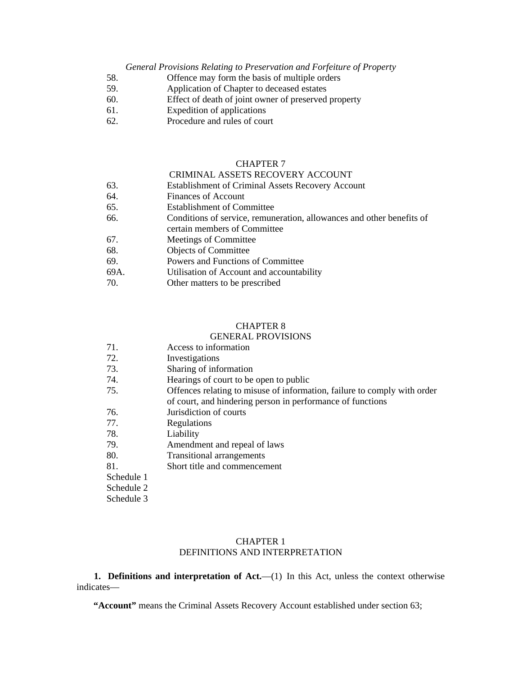#### *General Provisions Relating to Preservation and Forfeiture of Property*

- 58. Offence may form the basis of multiple orders
- 59. Application of Chapter to deceased estates
- 60. Effect of death of joint owner of preserved property
- 61. Expedition of applications
- 62. Procedure and rules of court

## CHAPTER 7

# CRIMINAL ASSETS RECOVERY ACCOUNT

- 63. Establishment of Criminal Assets Recovery Account
- 64. Finances of Account
- 65. Establishment of Committee
- 66. Conditions of service, remuneration, allowances and other benefits of
- certain members of Committee
- 67. Meetings of Committee
- 68. Objects of Committee
- 69. Powers and Functions of Committee
- 69A. Utilisation of Account and accountability
- 70. Other matters to be prescribed

# CHAPTER 8

#### GENERAL PROVISIONS

- 71. Access to information
- 72. Investigations
- 73. Sharing of information
- 74. Hearings of court to be open to public
- 75. Offences relating to misuse of information, failure to comply with order
	- of court, and hindering person in performance of functions
- 76. Jurisdiction of courts
- 77. Regulations
- 78. Liability
- 79. Amendment and repeal of laws
- 80. Transitional arrangements
- 81. Short title and commencement

Schedule 1

- Schedule 2
- Schedule 3

# CHAPTER 1 DEFINITIONS AND INTERPRETATION

**1. Definitions and interpretation of Act.**—(1) In this Act, unless the context otherwise indicates—

**"Account"** means the Criminal Assets Recovery Account established under section 63;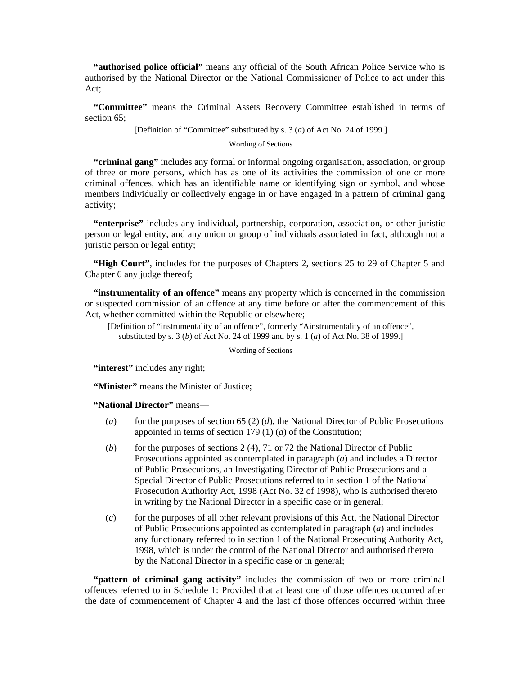**"authorised police official"** means any official of the South African Police Service who is authorised by the National Director or the National Commissioner of Police to act under this Act;

**"Committee"** means the Criminal Assets Recovery Committee established in terms of section 65;

[Definition of "Committee" substituted by s. 3 (*a*) of Act No. 24 of 1999.]

#### Wording of Sections

**"criminal gang"** includes any formal or informal ongoing organisation, association, or group of three or more persons, which has as one of its activities the commission of one or more criminal offences, which has an identifiable name or identifying sign or symbol, and whose members individually or collectively engage in or have engaged in a pattern of criminal gang activity;

**"enterprise"** includes any individual, partnership, corporation, association, or other juristic person or legal entity, and any union or group of individuals associated in fact, although not a juristic person or legal entity;

**"High Court"**, includes for the purposes of Chapters 2, sections 25 to 29 of Chapter 5 and Chapter 6 any judge thereof;

**"instrumentality of an offence"** means any property which is concerned in the commission or suspected commission of an offence at any time before or after the commencement of this Act, whether committed within the Republic or elsewhere;

[Definition of "instrumentality of an offence", formerly "Ainstrumentality of an offence", substituted by s. 3 (*b*) of Act No. 24 of 1999 and by s. 1 (*a*) of Act No. 38 of 1999.]

Wording of Sections

**"interest"** includes any right;

**"Minister"** means the Minister of Justice;

**"National Director"** means—

- (*a*) for the purposes of section 65 (2) (*d*), the National Director of Public Prosecutions appointed in terms of section 179 (1) (*a*) of the Constitution;
- (*b*) for the purposes of sections 2 (4), 71 or 72 the National Director of Public Prosecutions appointed as contemplated in paragraph (*a*) and includes a Director of Public Prosecutions, an Investigating Director of Public Prosecutions and a Special Director of Public Prosecutions referred to in section 1 of the National Prosecution Authority Act, 1998 (Act No. 32 of 1998), who is authorised thereto in writing by the National Director in a specific case or in general;
- (*c*) for the purposes of all other relevant provisions of this Act, the National Director of Public Prosecutions appointed as contemplated in paragraph (*a*) and includes any functionary referred to in section 1 of the National Prosecuting Authority Act, 1998, which is under the control of the National Director and authorised thereto by the National Director in a specific case or in general;

**"pattern of criminal gang activity"** includes the commission of two or more criminal offences referred to in Schedule 1: Provided that at least one of those offences occurred after the date of commencement of Chapter 4 and the last of those offences occurred within three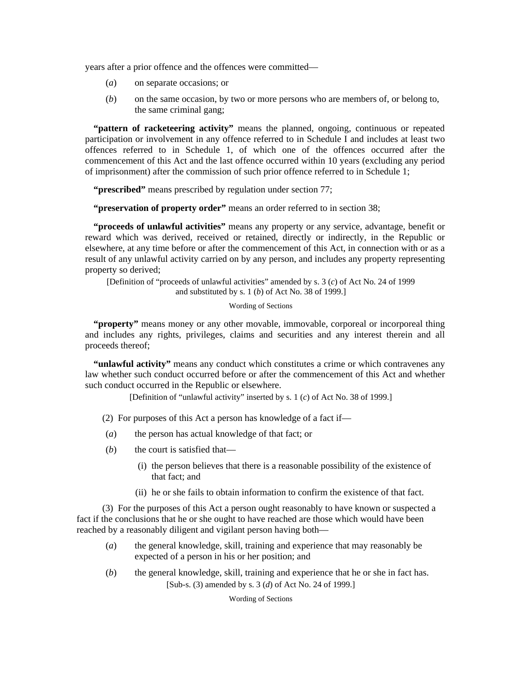years after a prior offence and the offences were committed—

- (*a*) on separate occasions; or
- (*b*) on the same occasion, by two or more persons who are members of, or belong to, the same criminal gang;

**"pattern of racketeering activity"** means the planned, ongoing, continuous or repeated participation or involvement in any offence referred to in Schedule I and includes at least two offences referred to in Schedule 1, of which one of the offences occurred after the commencement of this Act and the last offence occurred within 10 years (excluding any period of imprisonment) after the commission of such prior offence referred to in Schedule 1;

**"prescribed"** means prescribed by regulation under section 77;

**"preservation of property order"** means an order referred to in section 38;

**"proceeds of unlawful activities"** means any property or any service, advantage, benefit or reward which was derived, received or retained, directly or indirectly, in the Republic or elsewhere, at any time before or after the commencement of this Act, in connection with or as a result of any unlawful activity carried on by any person, and includes any property representing property so derived;

[Definition of "proceeds of unlawful activities" amended by s. 3 (*c*) of Act No. 24 of 1999 and substituted by s. 1 (*b*) of Act No. 38 of 1999.]

#### Wording of Sections

**"property"** means money or any other movable, immovable, corporeal or incorporeal thing and includes any rights, privileges, claims and securities and any interest therein and all proceeds thereof;

**"unlawful activity"** means any conduct which constitutes a crime or which contravenes any law whether such conduct occurred before or after the commencement of this Act and whether such conduct occurred in the Republic or elsewhere.

[Definition of "unlawful activity" inserted by s. 1 (*c*) of Act No. 38 of 1999.]

- (2) For purposes of this Act a person has knowledge of a fact if—
- (*a*) the person has actual knowledge of that fact; or
- (*b*) the court is satisfied that—
	- (i) the person believes that there is a reasonable possibility of the existence of that fact; and
	- (ii) he or she fails to obtain information to confirm the existence of that fact.

(3) For the purposes of this Act a person ought reasonably to have known or suspected a fact if the conclusions that he or she ought to have reached are those which would have been reached by a reasonably diligent and vigilant person having both—

- (*a*) the general knowledge, skill, training and experience that may reasonably be expected of a person in his or her position; and
- (*b*) the general knowledge, skill, training and experience that he or she in fact has. [Sub-s. (3) amended by s. 3 (*d*) of Act No. 24 of 1999.]

Wording of Sections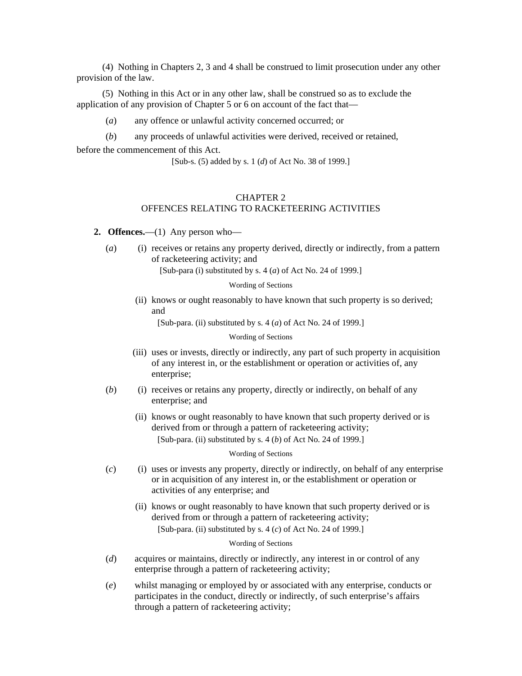(4) Nothing in Chapters 2, 3 and 4 shall be construed to limit prosecution under any other provision of the law.

(5) Nothing in this Act or in any other law, shall be construed so as to exclude the application of any provision of Chapter 5 or 6 on account of the fact that—

- (*a*) any offence or unlawful activity concerned occurred; or
- (*b*) any proceeds of unlawful activities were derived, received or retained,

before the commencement of this Act.

[Sub-s. (5) added by s. 1 (*d*) of Act No. 38 of 1999.]

#### CHAPTER 2 OFFENCES RELATING TO RACKETEERING ACTIVITIES

- **2. Offences.**—(1) Any person who—
	- (*a*) (i) receives or retains any property derived, directly or indirectly, from a pattern of racketeering activity; and

[Sub-para (i) substituted by s. 4 (*a*) of Act No. 24 of 1999.]

Wording of Sections

(ii) knows or ought reasonably to have known that such property is so derived; and

[Sub-para. (ii) substituted by s. 4 (*a*) of Act No. 24 of 1999.]

Wording of Sections

- (iii) uses or invests, directly or indirectly, any part of such property in acquisition of any interest in, or the establishment or operation or activities of, any enterprise;
- (*b*) (i) receives or retains any property, directly or indirectly, on behalf of any enterprise; and
	- (ii) knows or ought reasonably to have known that such property derived or is derived from or through a pattern of racketeering activity; [Sub-para. (ii) substituted by s. 4 (*b*) of Act No. 24 of 1999.]

Wording of Sections

- (*c*) (i) uses or invests any property, directly or indirectly, on behalf of any enterprise or in acquisition of any interest in, or the establishment or operation or activities of any enterprise; and
	- (ii) knows or ought reasonably to have known that such property derived or is derived from or through a pattern of racketeering activity; [Sub-para. (ii) substituted by s. 4 (*c*) of Act No. 24 of 1999.]

Wording of Sections

- (*d*) acquires or maintains, directly or indirectly, any interest in or control of any enterprise through a pattern of racketeering activity;
- (*e*) whilst managing or employed by or associated with any enterprise, conducts or participates in the conduct, directly or indirectly, of such enterprise's affairs through a pattern of racketeering activity;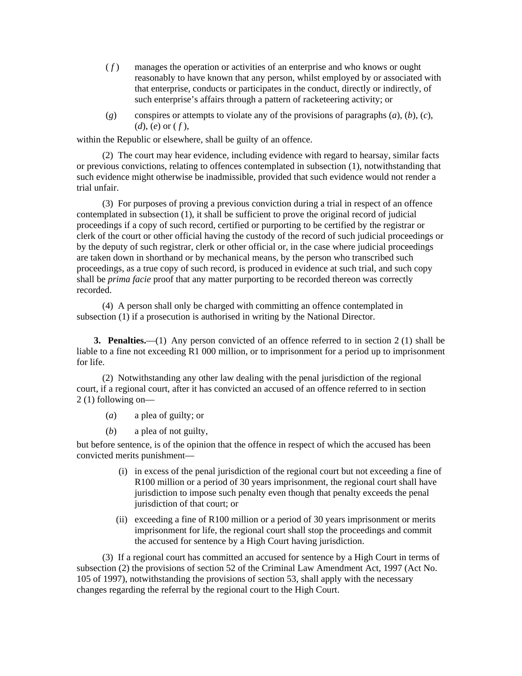- ( *f* ) manages the operation or activities of an enterprise and who knows or ought reasonably to have known that any person, whilst employed by or associated with that enterprise, conducts or participates in the conduct, directly or indirectly, of such enterprise's affairs through a pattern of racketeering activity; or
- (*g*) conspires or attempts to violate any of the provisions of paragraphs (*a*), (*b*), (*c*),  $(d)$ ,  $(e)$  or  $(f)$ ,

within the Republic or elsewhere, shall be guilty of an offence.

(2) The court may hear evidence, including evidence with regard to hearsay, similar facts or previous convictions, relating to offences contemplated in subsection (1), notwithstanding that such evidence might otherwise be inadmissible, provided that such evidence would not render a trial unfair.

(3) For purposes of proving a previous conviction during a trial in respect of an offence contemplated in subsection (1), it shall be sufficient to prove the original record of judicial proceedings if a copy of such record, certified or purporting to be certified by the registrar or clerk of the court or other official having the custody of the record of such judicial proceedings or by the deputy of such registrar, clerk or other official or, in the case where judicial proceedings are taken down in shorthand or by mechanical means, by the person who transcribed such proceedings, as a true copy of such record, is produced in evidence at such trial, and such copy shall be *prima facie* proof that any matter purporting to be recorded thereon was correctly recorded.

(4) A person shall only be charged with committing an offence contemplated in subsection (1) if a prosecution is authorised in writing by the National Director.

**3. Penalties.**—(1) Any person convicted of an offence referred to in section 2 (1) shall be liable to a fine not exceeding R1 000 million, or to imprisonment for a period up to imprisonment for life.

(2) Notwithstanding any other law dealing with the penal jurisdiction of the regional court, if a regional court, after it has convicted an accused of an offence referred to in section 2 (1) following on—

- (*a*) a plea of guilty; or
- (*b*) a plea of not guilty,

but before sentence, is of the opinion that the offence in respect of which the accused has been convicted merits punishment—

- (i) in excess of the penal jurisdiction of the regional court but not exceeding a fine of R100 million or a period of 30 years imprisonment, the regional court shall have jurisdiction to impose such penalty even though that penalty exceeds the penal jurisdiction of that court; or
- (ii) exceeding a fine of R100 million or a period of 30 years imprisonment or merits imprisonment for life, the regional court shall stop the proceedings and commit the accused for sentence by a High Court having jurisdiction.

(3) If a regional court has committed an accused for sentence by a High Court in terms of subsection (2) the provisions of section 52 of the Criminal Law Amendment Act, 1997 (Act No. 105 of 1997), notwithstanding the provisions of section 53, shall apply with the necessary changes regarding the referral by the regional court to the High Court.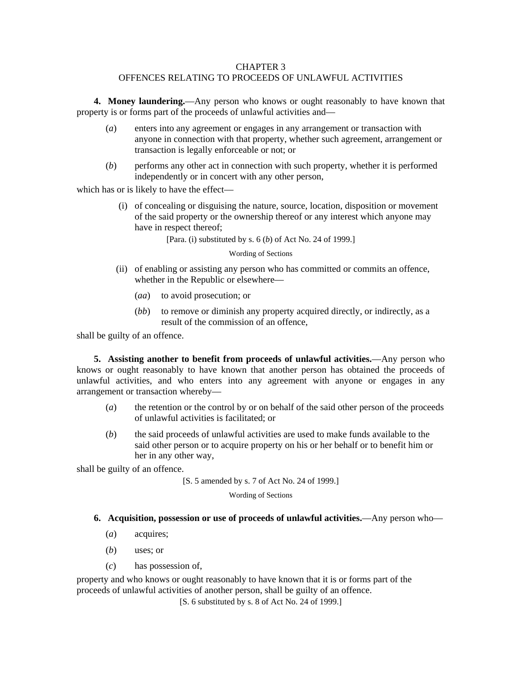# CHAPTER 3 OFFENCES RELATING TO PROCEEDS OF UNLAWFUL ACTIVITIES

**4. Money laundering.**—Any person who knows or ought reasonably to have known that property is or forms part of the proceeds of unlawful activities and—

- (*a*) enters into any agreement or engages in any arrangement or transaction with anyone in connection with that property, whether such agreement, arrangement or transaction is legally enforceable or not; or
- (*b*) performs any other act in connection with such property, whether it is performed independently or in concert with any other person,

which has or is likely to have the effect—

(i) of concealing or disguising the nature, source, location, disposition or movement of the said property or the ownership thereof or any interest which anyone may have in respect thereof;

[Para. (i) substituted by s. 6 (*b*) of Act No. 24 of 1999.]

## Wording of Sections

- (ii) of enabling or assisting any person who has committed or commits an offence, whether in the Republic or elsewhere—
	- (*aa*) to avoid prosecution; or
	- (*bb*) to remove or diminish any property acquired directly, or indirectly, as a result of the commission of an offence,

shall be guilty of an offence.

**5. Assisting another to benefit from proceeds of unlawful activities.**—Any person who knows or ought reasonably to have known that another person has obtained the proceeds of unlawful activities, and who enters into any agreement with anyone or engages in any arrangement or transaction whereby—

- (*a*) the retention or the control by or on behalf of the said other person of the proceeds of unlawful activities is facilitated; or
- (*b*) the said proceeds of unlawful activities are used to make funds available to the said other person or to acquire property on his or her behalf or to benefit him or her in any other way,

shall be guilty of an offence.

[S. 5 amended by s. 7 of Act No. 24 of 1999.]

Wording of Sections

## **6. Acquisition, possession or use of proceeds of unlawful activities.**—Any person who—

- (*a*) acquires;
- (*b*) uses; or
- (*c*) has possession of,

property and who knows or ought reasonably to have known that it is or forms part of the proceeds of unlawful activities of another person, shall be guilty of an offence.

[S. 6 substituted by s. 8 of Act No. 24 of 1999.]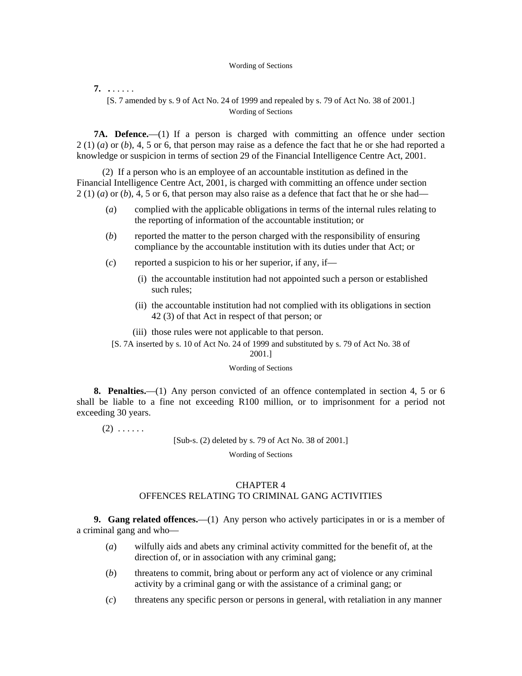#### Wording of Sections

**7. .** . . . . .

[S. 7 amended by s. 9 of Act No. 24 of 1999 and repealed by s. 79 of Act No. 38 of 2001.] Wording of Sections

**7A. Defence.**—(1) If a person is charged with committing an offence under section 2 (1) (*a*) or (*b*), 4, 5 or 6, that person may raise as a defence the fact that he or she had reported a knowledge or suspicion in terms of section 29 of the Financial Intelligence Centre Act, 2001.

(2) If a person who is an employee of an accountable institution as defined in the Financial Intelligence Centre Act, 2001, is charged with committing an offence under section  $2(1)(a)$  or  $(b)$ ,  $\overline{4}$ , 5 or 6, that person may also raise as a defence that fact that he or she had—

- (*a*) complied with the applicable obligations in terms of the internal rules relating to the reporting of information of the accountable institution; or
- (*b*) reported the matter to the person charged with the responsibility of ensuring compliance by the accountable institution with its duties under that Act; or
- $(c)$  reported a suspicion to his or her superior, if any, if—
	- (i) the accountable institution had not appointed such a person or established such rules;
	- (ii) the accountable institution had not complied with its obligations in section 42 (3) of that Act in respect of that person; or
	- (iii) those rules were not applicable to that person.

[S. 7A inserted by s. 10 of Act No. 24 of 1999 and substituted by s. 79 of Act No. 38 of 2001.]

### Wording of Sections

**8. Penalties.**—(1) Any person convicted of an offence contemplated in section 4, 5 or 6 shall be liable to a fine not exceeding R100 million, or to imprisonment for a period not exceeding 30 years.

 $(2) \ldots$ .

[Sub-s. (2) deleted by s. 79 of Act No. 38 of 2001.]

Wording of Sections

# CHAPTER 4

## OFFENCES RELATING TO CRIMINAL GANG ACTIVITIES

**9. Gang related offences.**—(1) Any person who actively participates in or is a member of a criminal gang and who—

- (*a*) wilfully aids and abets any criminal activity committed for the benefit of, at the direction of, or in association with any criminal gang;
- (*b*) threatens to commit, bring about or perform any act of violence or any criminal activity by a criminal gang or with the assistance of a criminal gang; or
- (*c*) threatens any specific person or persons in general, with retaliation in any manner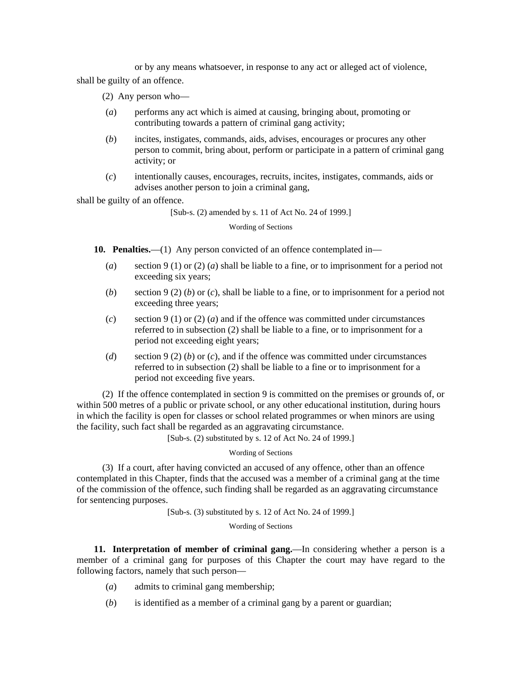or by any means whatsoever, in response to any act or alleged act of violence, shall be guilty of an offence.

- (2) Any person who—
- (*a*) performs any act which is aimed at causing, bringing about, promoting or contributing towards a pattern of criminal gang activity;
- (*b*) incites, instigates, commands, aids, advises, encourages or procures any other person to commit, bring about, perform or participate in a pattern of criminal gang activity; or
- (*c*) intentionally causes, encourages, recruits, incites, instigates, commands, aids or advises another person to join a criminal gang,

shall be guilty of an offence.

[Sub-s. (2) amended by s. 11 of Act No. 24 of 1999.]

Wording of Sections

- **10. Penalties.**—(1) Any person convicted of an offence contemplated in—
	- (*a*) section 9 (1) or (2) (*a*) shall be liable to a fine, or to imprisonment for a period not exceeding six years;
	- (*b*) section 9 (2) (*b*) or (*c*), shall be liable to a fine, or to imprisonment for a period not exceeding three years;
	- (*c*) section 9 (1) or (2) (*a*) and if the offence was committed under circumstances referred to in subsection (2) shall be liable to a fine, or to imprisonment for a period not exceeding eight years;
	- (*d*) section 9 (2) (*b*) or (*c*), and if the offence was committed under circumstances referred to in subsection (2) shall be liable to a fine or to imprisonment for a period not exceeding five years.

(2) If the offence contemplated in section 9 is committed on the premises or grounds of, or within 500 metres of a public or private school, or any other educational institution, during hours in which the facility is open for classes or school related programmes or when minors are using the facility, such fact shall be regarded as an aggravating circumstance.

[Sub-s. (2) substituted by s. 12 of Act No. 24 of 1999.]

#### Wording of Sections

(3) If a court, after having convicted an accused of any offence, other than an offence contemplated in this Chapter, finds that the accused was a member of a criminal gang at the time of the commission of the offence, such finding shall be regarded as an aggravating circumstance for sentencing purposes.

[Sub-s. (3) substituted by s. 12 of Act No. 24 of 1999.]

# Wording of Sections

**11. Interpretation of member of criminal gang.**—In considering whether a person is a member of a criminal gang for purposes of this Chapter the court may have regard to the following factors, namely that such person—

- (*a*) admits to criminal gang membership;
- (*b*) is identified as a member of a criminal gang by a parent or guardian;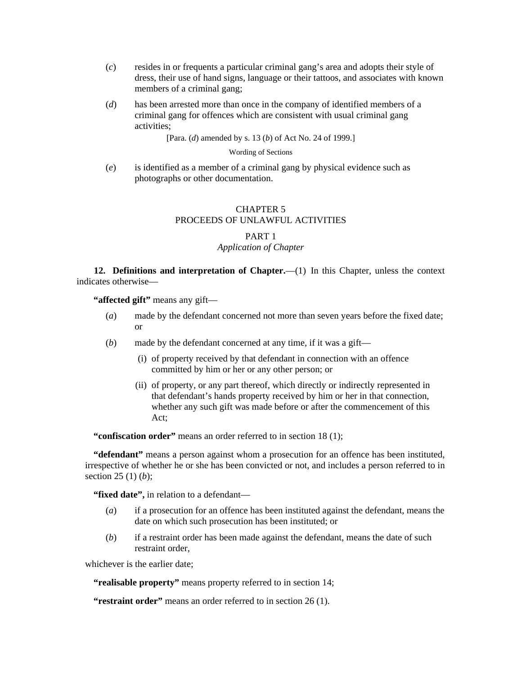- (*c*) resides in or frequents a particular criminal gang's area and adopts their style of dress, their use of hand signs, language or their tattoos, and associates with known members of a criminal gang;
- (*d*) has been arrested more than once in the company of identified members of a criminal gang for offences which are consistent with usual criminal gang activities;

[Para. (*d*) amended by s. 13 (*b*) of Act No. 24 of 1999.]

#### Wording of Sections

(*e*) is identified as a member of a criminal gang by physical evidence such as photographs or other documentation.

# CHAPTER 5 PROCEEDS OF UNLAWFUL ACTIVITIES

## PART 1 *Application of Chapter*

**12. Definitions and interpretation of Chapter.**—(1) In this Chapter, unless the context indicates otherwise—

**"affected gift"** means any gift—

- (*a*) made by the defendant concerned not more than seven years before the fixed date; or
- (*b*) made by the defendant concerned at any time, if it was a gift—
	- (i) of property received by that defendant in connection with an offence committed by him or her or any other person; or
	- (ii) of property, or any part thereof, which directly or indirectly represented in that defendant's hands property received by him or her in that connection, whether any such gift was made before or after the commencement of this Act;

"**confiscation order**" means an order referred to in section 18 (1);

**"defendant"** means a person against whom a prosecution for an offence has been instituted, irrespective of whether he or she has been convicted or not, and includes a person referred to in section 25 (1) (*b*);

**"fixed date",** in relation to a defendant—

- (*a*) if a prosecution for an offence has been instituted against the defendant, means the date on which such prosecution has been instituted; or
- (*b*) if a restraint order has been made against the defendant, means the date of such restraint order,

whichever is the earlier date;

**"realisable property"** means property referred to in section 14;

**"restraint order"** means an order referred to in section 26 (1).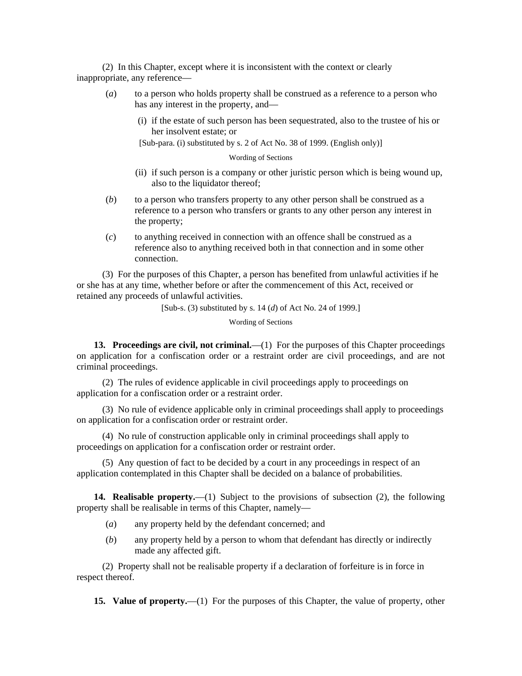(2) In this Chapter, except where it is inconsistent with the context or clearly inappropriate, any reference—

- (*a*) to a person who holds property shall be construed as a reference to a person who has any interest in the property, and—
	- (i) if the estate of such person has been sequestrated, also to the trustee of his or her insolvent estate; or

[Sub-para. (i) substituted by s. 2 of Act No. 38 of 1999. (English only)]

Wording of Sections

- (ii) if such person is a company or other juristic person which is being wound up, also to the liquidator thereof;
- (*b*) to a person who transfers property to any other person shall be construed as a reference to a person who transfers or grants to any other person any interest in the property;
- (*c*) to anything received in connection with an offence shall be construed as a reference also to anything received both in that connection and in some other connection.

(3) For the purposes of this Chapter, a person has benefited from unlawful activities if he or she has at any time, whether before or after the commencement of this Act, received or retained any proceeds of unlawful activities.

```
[Sub-s. (3) substituted by s. 14 (d) of Act No. 24 of 1999.]
```
Wording of Sections

**13. Proceedings are civil, not criminal.**—(1) For the purposes of this Chapter proceedings on application for a confiscation order or a restraint order are civil proceedings, and are not criminal proceedings.

(2) The rules of evidence applicable in civil proceedings apply to proceedings on application for a confiscation order or a restraint order.

(3) No rule of evidence applicable only in criminal proceedings shall apply to proceedings on application for a confiscation order or restraint order.

(4) No rule of construction applicable only in criminal proceedings shall apply to proceedings on application for a confiscation order or restraint order.

(5) Any question of fact to be decided by a court in any proceedings in respect of an application contemplated in this Chapter shall be decided on a balance of probabilities.

**14. Realisable property.**—(1) Subject to the provisions of subsection (2), the following property shall be realisable in terms of this Chapter, namely—

- (*a*) any property held by the defendant concerned; and
- (*b*) any property held by a person to whom that defendant has directly or indirectly made any affected gift.

(2) Property shall not be realisable property if a declaration of forfeiture is in force in respect thereof.

**15. Value of property.**—(1) For the purposes of this Chapter, the value of property, other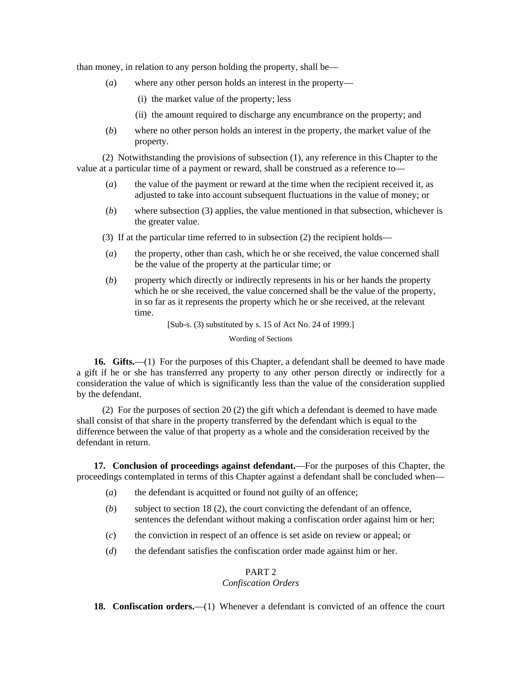than money, in relation to any person holding the property, shall be—

- (*a*) where any other person holds an interest in the property—
	- (i) the market value of the property; less
	- (ii) the amount required to discharge any encumbrance on the property; and
- (*b*) where no other person holds an interest in the property, the market value of the property.

(2) Notwithstanding the provisions of subsection (1), any reference in this Chapter to the value at a particular time of a payment or reward, shall be construed as a reference to—

- (*a*) the value of the payment or reward at the time when the recipient received it, as adjusted to take into account subsequent fluctuations in the value of money; or
- (*b*) where subsection (3) applies, the value mentioned in that subsection, whichever is the greater value.
- (3) If at the particular time referred to in subsection (2) the recipient holds—
- (*a*) the property, other than cash, which he or she received, the value concerned shall be the value of the property at the particular time; or
- (*b*) property which directly or indirectly represents in his or her hands the property which he or she received, the value concerned shall be the value of the property, in so far as it represents the property which he or she received, at the relevant time.

[Sub-s. (3) substituted by s. 15 of Act No. 24 of 1999.]

Wording of Sections

**16. Gifts.**—(1) For the purposes of this Chapter, a defendant shall be deemed to have made a gift if he or she has transferred any property to any other person directly or indirectly for a consideration the value of which is significantly less than the value of the consideration supplied by the defendant.

(2) For the purposes of section 20 (2) the gift which a defendant is deemed to have made shall consist of that share in the property transferred by the defendant which is equal to the difference between the value of that property as a whole and the consideration received by the defendant in return.

**17. Conclusion of proceedings against defendant.**—For the purposes of this Chapter, the proceedings contemplated in terms of this Chapter against a defendant shall be concluded when—

- (*a*) the defendant is acquitted or found not guilty of an offence;
- (*b*) subject to section 18 (2), the court convicting the defendant of an offence, sentences the defendant without making a confiscation order against him or her;
- (*c*) the conviction in respect of an offence is set aside on review or appeal; or
- (*d*) the defendant satisfies the confiscation order made against him or her.

# PART 2

# *Confiscation Orders*

**18. Confiscation orders.**—(1) Whenever a defendant is convicted of an offence the court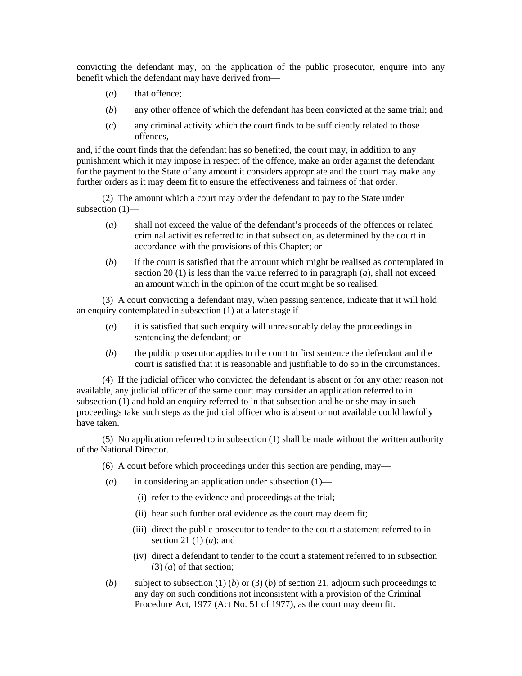convicting the defendant may, on the application of the public prosecutor, enquire into any benefit which the defendant may have derived from—

- (*a*) that offence;
- (*b*) any other offence of which the defendant has been convicted at the same trial; and
- (*c*) any criminal activity which the court finds to be sufficiently related to those offences,

and, if the court finds that the defendant has so benefited, the court may, in addition to any punishment which it may impose in respect of the offence, make an order against the defendant for the payment to the State of any amount it considers appropriate and the court may make any further orders as it may deem fit to ensure the effectiveness and fairness of that order.

(2) The amount which a court may order the defendant to pay to the State under subsection (1)—

- (*a*) shall not exceed the value of the defendant's proceeds of the offences or related criminal activities referred to in that subsection, as determined by the court in accordance with the provisions of this Chapter; or
- (*b*) if the court is satisfied that the amount which might be realised as contemplated in section 20 (1) is less than the value referred to in paragraph (*a*), shall not exceed an amount which in the opinion of the court might be so realised.

(3) A court convicting a defendant may, when passing sentence, indicate that it will hold an enquiry contemplated in subsection (1) at a later stage if—

- (*a*) it is satisfied that such enquiry will unreasonably delay the proceedings in sentencing the defendant; or
- (*b*) the public prosecutor applies to the court to first sentence the defendant and the court is satisfied that it is reasonable and justifiable to do so in the circumstances.

(4) If the judicial officer who convicted the defendant is absent or for any other reason not available, any judicial officer of the same court may consider an application referred to in subsection (1) and hold an enquiry referred to in that subsection and he or she may in such proceedings take such steps as the judicial officer who is absent or not available could lawfully have taken.

(5) No application referred to in subsection (1) shall be made without the written authority of the National Director.

(6) A court before which proceedings under this section are pending, may—

- (*a*) in considering an application under subsection  $(1)$ 
	- (i) refer to the evidence and proceedings at the trial;
	- (ii) hear such further oral evidence as the court may deem fit;
	- (iii) direct the public prosecutor to tender to the court a statement referred to in section 21 (1) (*a*); and
	- (iv) direct a defendant to tender to the court a statement referred to in subsection (3) (*a*) of that section;
- (*b*) subject to subsection (1) (*b*) or (3) (*b*) of section 21, adjourn such proceedings to any day on such conditions not inconsistent with a provision of the Criminal Procedure Act, 1977 (Act No. 51 of 1977), as the court may deem fit.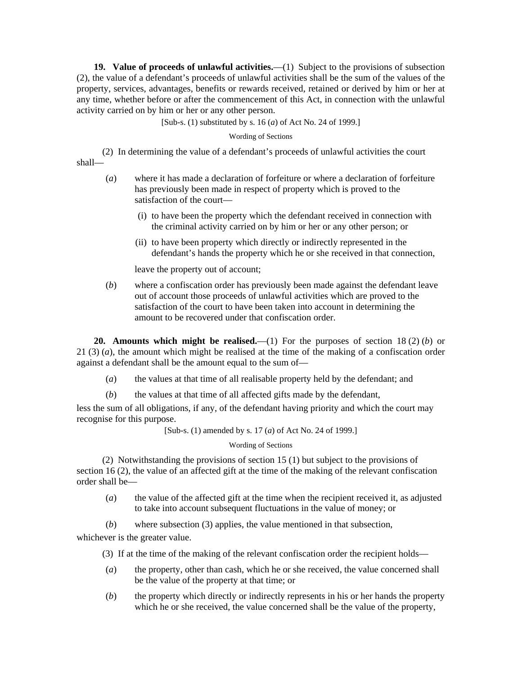**19. Value of proceeds of unlawful activities.**—(1) Subject to the provisions of subsection (2), the value of a defendant's proceeds of unlawful activities shall be the sum of the values of the property, services, advantages, benefits or rewards received, retained or derived by him or her at any time, whether before or after the commencement of this Act, in connection with the unlawful activity carried on by him or her or any other person.

[Sub-s. (1) substituted by s. 16 (*a*) of Act No. 24 of 1999.]

## Wording of Sections

(2) In determining the value of a defendant's proceeds of unlawful activities the court shall—

- (*a*) where it has made a declaration of forfeiture or where a declaration of forfeiture has previously been made in respect of property which is proved to the satisfaction of the court—
	- (i) to have been the property which the defendant received in connection with the criminal activity carried on by him or her or any other person; or
	- (ii) to have been property which directly or indirectly represented in the defendant's hands the property which he or she received in that connection,

leave the property out of account;

(*b*) where a confiscation order has previously been made against the defendant leave out of account those proceeds of unlawful activities which are proved to the satisfaction of the court to have been taken into account in determining the amount to be recovered under that confiscation order.

**20. Amounts which might be realised.**—(1) For the purposes of section 18 (2) (*b*) or 21 (3) (*a*), the amount which might be realised at the time of the making of a confiscation order against a defendant shall be the amount equal to the sum of—

- (*a*) the values at that time of all realisable property held by the defendant; and
- (*b*) the values at that time of all affected gifts made by the defendant,

less the sum of all obligations, if any, of the defendant having priority and which the court may recognise for this purpose.

[Sub-s. (1) amended by s. 17 (*a*) of Act No. 24 of 1999.]

#### Wording of Sections

(2) Notwithstanding the provisions of section 15 (1) but subject to the provisions of section 16 (2), the value of an affected gift at the time of the making of the relevant confiscation order shall be—

(*a*) the value of the affected gift at the time when the recipient received it, as adjusted to take into account subsequent fluctuations in the value of money; or

(*b*) where subsection (3) applies, the value mentioned in that subsection,

whichever is the greater value.

- (3) If at the time of the making of the relevant confiscation order the recipient holds—
- (*a*) the property, other than cash, which he or she received, the value concerned shall be the value of the property at that time; or
- (*b*) the property which directly or indirectly represents in his or her hands the property which he or she received, the value concerned shall be the value of the property,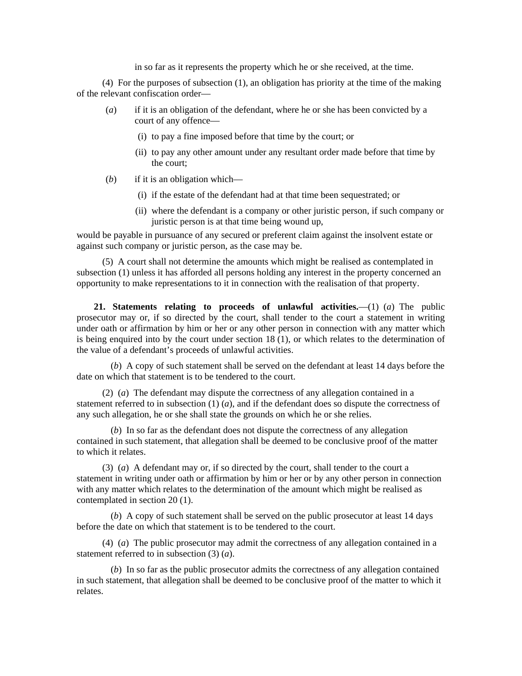in so far as it represents the property which he or she received, at the time.

(4) For the purposes of subsection (1), an obligation has priority at the time of the making of the relevant confiscation order—

- (*a*) if it is an obligation of the defendant, where he or she has been convicted by a court of any offence—
	- (i) to pay a fine imposed before that time by the court; or
	- (ii) to pay any other amount under any resultant order made before that time by the court;
- (*b*) if it is an obligation which—
	- (i) if the estate of the defendant had at that time been sequestrated; or
	- (ii) where the defendant is a company or other juristic person, if such company or juristic person is at that time being wound up,

would be payable in pursuance of any secured or preferent claim against the insolvent estate or against such company or juristic person, as the case may be.

(5) A court shall not determine the amounts which might be realised as contemplated in subsection (1) unless it has afforded all persons holding any interest in the property concerned an opportunity to make representations to it in connection with the realisation of that property.

**21. Statements relating to proceeds of unlawful activities.**—(1) (*a*) The public prosecutor may or, if so directed by the court, shall tender to the court a statement in writing under oath or affirmation by him or her or any other person in connection with any matter which is being enquired into by the court under section 18 (1), or which relates to the determination of the value of a defendant's proceeds of unlawful activities.

(*b*) A copy of such statement shall be served on the defendant at least 14 days before the date on which that statement is to be tendered to the court.

(2) (*a*) The defendant may dispute the correctness of any allegation contained in a statement referred to in subsection (1) (*a*), and if the defendant does so dispute the correctness of any such allegation, he or she shall state the grounds on which he or she relies.

(*b*) In so far as the defendant does not dispute the correctness of any allegation contained in such statement, that allegation shall be deemed to be conclusive proof of the matter to which it relates.

(3) (*a*) A defendant may or, if so directed by the court, shall tender to the court a statement in writing under oath or affirmation by him or her or by any other person in connection with any matter which relates to the determination of the amount which might be realised as contemplated in section 20 (1).

(*b*) A copy of such statement shall be served on the public prosecutor at least 14 days before the date on which that statement is to be tendered to the court.

(4) (*a*) The public prosecutor may admit the correctness of any allegation contained in a statement referred to in subsection (3) (*a*).

(*b*) In so far as the public prosecutor admits the correctness of any allegation contained in such statement, that allegation shall be deemed to be conclusive proof of the matter to which it relates.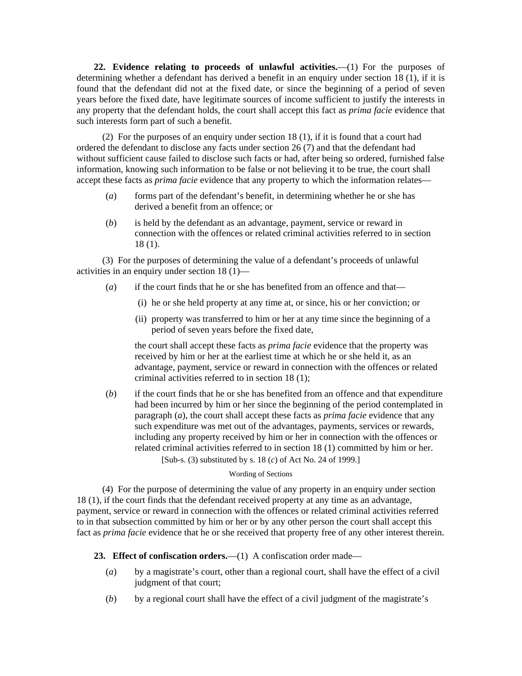**22. Evidence relating to proceeds of unlawful activities.**—(1) For the purposes of determining whether a defendant has derived a benefit in an enquiry under section 18 (1), if it is found that the defendant did not at the fixed date, or since the beginning of a period of seven years before the fixed date, have legitimate sources of income sufficient to justify the interests in any property that the defendant holds, the court shall accept this fact as *prima facie* evidence that such interests form part of such a benefit.

(2) For the purposes of an enquiry under section 18 (1), if it is found that a court had ordered the defendant to disclose any facts under section 26 (7) and that the defendant had without sufficient cause failed to disclose such facts or had, after being so ordered, furnished false information, knowing such information to be false or not believing it to be true, the court shall accept these facts as *prima facie* evidence that any property to which the information relates—

- (*a*) forms part of the defendant's benefit, in determining whether he or she has derived a benefit from an offence; or
- (*b*) is held by the defendant as an advantage, payment, service or reward in connection with the offences or related criminal activities referred to in section 18 (1).

(3) For the purposes of determining the value of a defendant's proceeds of unlawful activities in an enquiry under section 18 (1)—

- (*a*) if the court finds that he or she has benefited from an offence and that—
	- (i) he or she held property at any time at, or since, his or her conviction; or
	- (ii) property was transferred to him or her at any time since the beginning of a period of seven years before the fixed date,

 the court shall accept these facts as *prima facie* evidence that the property was received by him or her at the earliest time at which he or she held it, as an advantage, payment, service or reward in connection with the offences or related criminal activities referred to in section 18 (1);

(*b*) if the court finds that he or she has benefited from an offence and that expenditure had been incurred by him or her since the beginning of the period contemplated in paragraph (*a*), the court shall accept these facts as *prima facie* evidence that any such expenditure was met out of the advantages, payments, services or rewards, including any property received by him or her in connection with the offences or related criminal activities referred to in section 18 (1) committed by him or her.

[Sub-s. (3) substituted by s. 18 (*c*) of Act No. 24 of 1999.]

# Wording of Sections

(4) For the purpose of determining the value of any property in an enquiry under section 18 (1), if the court finds that the defendant received property at any time as an advantage, payment, service or reward in connection with the offences or related criminal activities referred to in that subsection committed by him or her or by any other person the court shall accept this fact as *prima facie* evidence that he or she received that property free of any other interest therein.

# **23. Effect of confiscation orders.**—(1) A confiscation order made—

- (*a*) by a magistrate's court, other than a regional court, shall have the effect of a civil judgment of that court;
- (*b*) by a regional court shall have the effect of a civil judgment of the magistrate's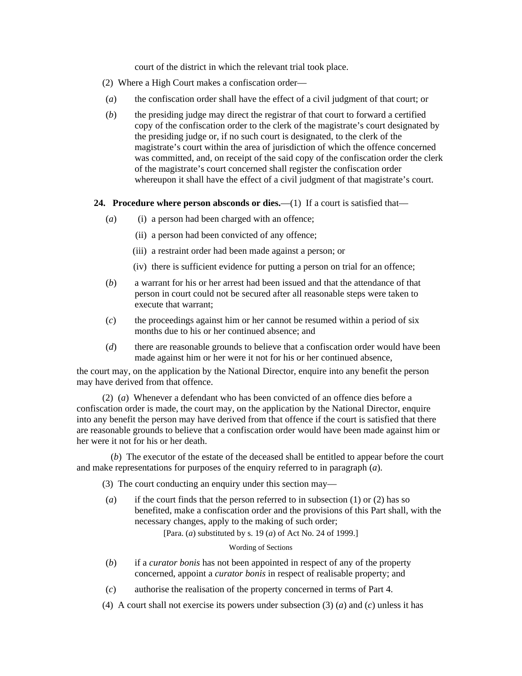court of the district in which the relevant trial took place.

- (2) Where a High Court makes a confiscation order—
- (*a*) the confiscation order shall have the effect of a civil judgment of that court; or
- (*b*) the presiding judge may direct the registrar of that court to forward a certified copy of the confiscation order to the clerk of the magistrate's court designated by the presiding judge or, if no such court is designated, to the clerk of the magistrate's court within the area of jurisdiction of which the offence concerned was committed, and, on receipt of the said copy of the confiscation order the clerk of the magistrate's court concerned shall register the confiscation order whereupon it shall have the effect of a civil judgment of that magistrate's court.

### **24. Procedure where person absconds or dies.**—(1) If a court is satisfied that—

- (*a*) (i) a person had been charged with an offence;
	- (ii) a person had been convicted of any offence;
	- (iii) a restraint order had been made against a person; or
	- (iv) there is sufficient evidence for putting a person on trial for an offence;
- (*b*) a warrant for his or her arrest had been issued and that the attendance of that person in court could not be secured after all reasonable steps were taken to execute that warrant;
- (*c*) the proceedings against him or her cannot be resumed within a period of six months due to his or her continued absence; and
- (*d*) there are reasonable grounds to believe that a confiscation order would have been made against him or her were it not for his or her continued absence,

the court may, on the application by the National Director, enquire into any benefit the person may have derived from that offence.

(2) (*a*) Whenever a defendant who has been convicted of an offence dies before a confiscation order is made, the court may, on the application by the National Director, enquire into any benefit the person may have derived from that offence if the court is satisfied that there are reasonable grounds to believe that a confiscation order would have been made against him or her were it not for his or her death.

(*b*) The executor of the estate of the deceased shall be entitled to appear before the court and make representations for purposes of the enquiry referred to in paragraph (*a*).

(3) The court conducting an enquiry under this section may—

(*a*) if the court finds that the person referred to in subsection (1) or (2) has so benefited, make a confiscation order and the provisions of this Part shall, with the necessary changes, apply to the making of such order;

[Para. (*a*) substituted by s. 19 (*a*) of Act No. 24 of 1999.]

#### Wording of Sections

- (*b*) if a *curator bonis* has not been appointed in respect of any of the property concerned, appoint a *curator bonis* in respect of realisable property; and
- (*c*) authorise the realisation of the property concerned in terms of Part 4.
- (4) A court shall not exercise its powers under subsection (3) (*a*) and (*c*) unless it has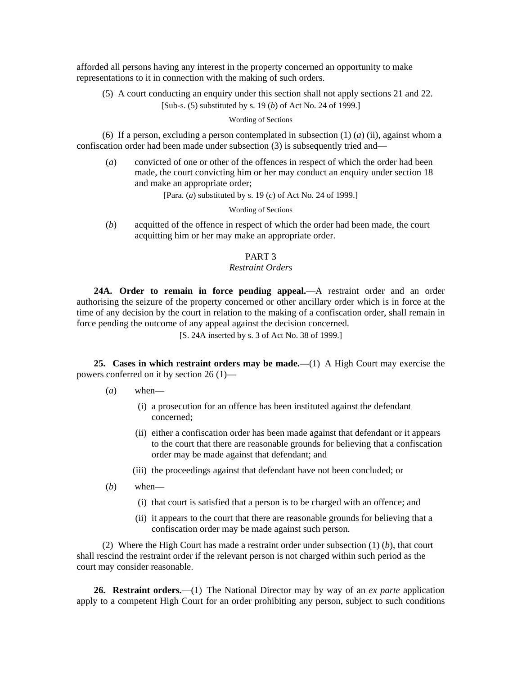afforded all persons having any interest in the property concerned an opportunity to make representations to it in connection with the making of such orders.

(5) A court conducting an enquiry under this section shall not apply sections 21 and 22. [Sub-s. (5) substituted by s. 19 (*b*) of Act No. 24 of 1999.]

Wording of Sections

(6) If a person, excluding a person contemplated in subsection  $(1)$   $(a)$  (ii), against whom a confiscation order had been made under subsection (3) is subsequently tried and—

(*a*) convicted of one or other of the offences in respect of which the order had been made, the court convicting him or her may conduct an enquiry under section 18 and make an appropriate order;

[Para. (*a*) substituted by s. 19 (*c*) of Act No. 24 of 1999.]

Wording of Sections

(*b*) acquitted of the offence in respect of which the order had been made, the court acquitting him or her may make an appropriate order.

# PART 3

# *Restraint Orders*

**24A. Order to remain in force pending appeal.**—A restraint order and an order authorising the seizure of the property concerned or other ancillary order which is in force at the time of any decision by the court in relation to the making of a confiscation order, shall remain in force pending the outcome of any appeal against the decision concerned.

[S. 24A inserted by s. 3 of Act No. 38 of 1999.]

**25. Cases in which restraint orders may be made.**—(1) A High Court may exercise the powers conferred on it by section 26 (1)—

## (*a*) when—

- (i) a prosecution for an offence has been instituted against the defendant concerned;
- (ii) either a confiscation order has been made against that defendant or it appears to the court that there are reasonable grounds for believing that a confiscation order may be made against that defendant; and
- (iii) the proceedings against that defendant have not been concluded; or
- (*b*) when—
	- (i) that court is satisfied that a person is to be charged with an offence; and
	- (ii) it appears to the court that there are reasonable grounds for believing that a confiscation order may be made against such person.

(2) Where the High Court has made a restraint order under subsection (1) (*b*), that court shall rescind the restraint order if the relevant person is not charged within such period as the court may consider reasonable.

**26. Restraint orders.**—(1) The National Director may by way of an *ex parte* application apply to a competent High Court for an order prohibiting any person, subject to such conditions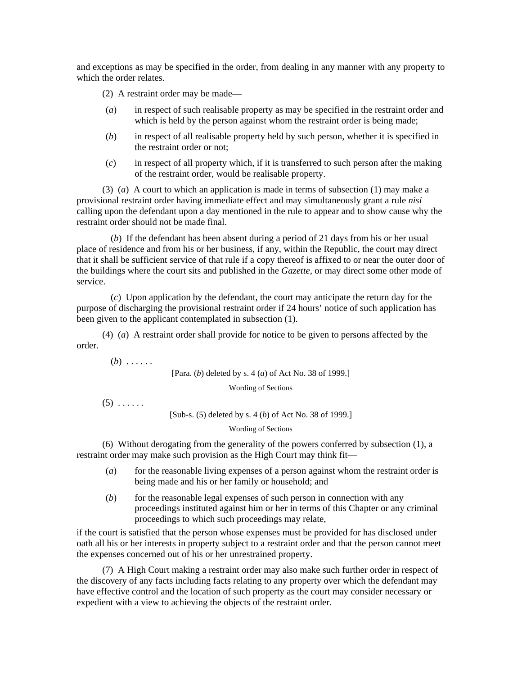and exceptions as may be specified in the order, from dealing in any manner with any property to which the order relates.

(2) A restraint order may be made—

- (*a*) in respect of such realisable property as may be specified in the restraint order and which is held by the person against whom the restraint order is being made;
- (*b*) in respect of all realisable property held by such person, whether it is specified in the restraint order or not;
- (*c*) in respect of all property which, if it is transferred to such person after the making of the restraint order, would be realisable property.

(3) (*a*) A court to which an application is made in terms of subsection (1) may make a provisional restraint order having immediate effect and may simultaneously grant a rule *nisi*  calling upon the defendant upon a day mentioned in the rule to appear and to show cause why the restraint order should not be made final.

(*b*) If the defendant has been absent during a period of 21 days from his or her usual place of residence and from his or her business, if any, within the Republic, the court may direct that it shall be sufficient service of that rule if a copy thereof is affixed to or near the outer door of the buildings where the court sits and published in the *Gazette*, or may direct some other mode of service.

(*c*) Upon application by the defendant, the court may anticipate the return day for the purpose of discharging the provisional restraint order if 24 hours' notice of such application has been given to the applicant contemplated in subsection (1).

(4) (*a*) A restraint order shall provide for notice to be given to persons affected by the order.

 $(b)$  .....

[Para. (*b*) deleted by s. 4 (*a*) of Act No. 38 of 1999.]

Wording of Sections

 $(5)$  . . . . . .

[Sub-s. (5) deleted by s. 4 (*b*) of Act No. 38 of 1999.]

Wording of Sections

(6) Without derogating from the generality of the powers conferred by subsection (1), a restraint order may make such provision as the High Court may think fit—

- (*a*) for the reasonable living expenses of a person against whom the restraint order is being made and his or her family or household; and
- (*b*) for the reasonable legal expenses of such person in connection with any proceedings instituted against him or her in terms of this Chapter or any criminal proceedings to which such proceedings may relate,

if the court is satisfied that the person whose expenses must be provided for has disclosed under oath all his or her interests in property subject to a restraint order and that the person cannot meet the expenses concerned out of his or her unrestrained property.

(7) A High Court making a restraint order may also make such further order in respect of the discovery of any facts including facts relating to any property over which the defendant may have effective control and the location of such property as the court may consider necessary or expedient with a view to achieving the objects of the restraint order.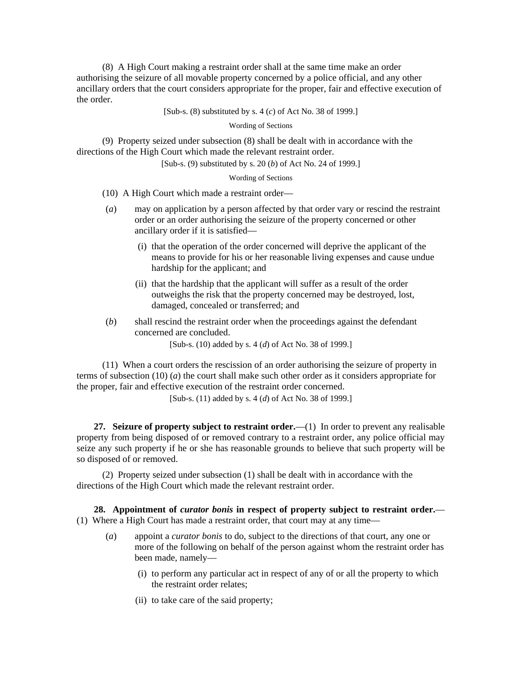(8) A High Court making a restraint order shall at the same time make an order authorising the seizure of all movable property concerned by a police official, and any other ancillary orders that the court considers appropriate for the proper, fair and effective execution of the order.

# [Sub-s. (8) substituted by s. 4 (*c*) of Act No. 38 of 1999.]

Wording of Sections

(9) Property seized under subsection (8) shall be dealt with in accordance with the directions of the High Court which made the relevant restraint order.

#### [Sub-s. (9) substituted by s. 20 (*b*) of Act No. 24 of 1999.]

Wording of Sections

(10) A High Court which made a restraint order—

- (*a*) may on application by a person affected by that order vary or rescind the restraint order or an order authorising the seizure of the property concerned or other ancillary order if it is satisfied—
	- (i) that the operation of the order concerned will deprive the applicant of the means to provide for his or her reasonable living expenses and cause undue hardship for the applicant; and
	- (ii) that the hardship that the applicant will suffer as a result of the order outweighs the risk that the property concerned may be destroyed, lost, damaged, concealed or transferred; and
- (*b*) shall rescind the restraint order when the proceedings against the defendant concerned are concluded.

[Sub-s. (10) added by s. 4 (*d*) of Act No. 38 of 1999.]

(11) When a court orders the rescission of an order authorising the seizure of property in terms of subsection (10) (*a*) the court shall make such other order as it considers appropriate for the proper, fair and effective execution of the restraint order concerned.

[Sub-s. (11) added by s. 4 (*d*) of Act No. 38 of 1999.]

**27. Seizure of property subject to restraint order.**—(1) In order to prevent any realisable property from being disposed of or removed contrary to a restraint order, any police official may seize any such property if he or she has reasonable grounds to believe that such property will be so disposed of or removed.

(2) Property seized under subsection (1) shall be dealt with in accordance with the directions of the High Court which made the relevant restraint order.

**28. Appointment of** *curator bonis* **in respect of property subject to restraint order.**— (1) Where a High Court has made a restraint order, that court may at any time—

- (*a*) appoint a *curator bonis* to do, subject to the directions of that court, any one or more of the following on behalf of the person against whom the restraint order has been made, namely—
	- (i) to perform any particular act in respect of any of or all the property to which the restraint order relates;
	- (ii) to take care of the said property;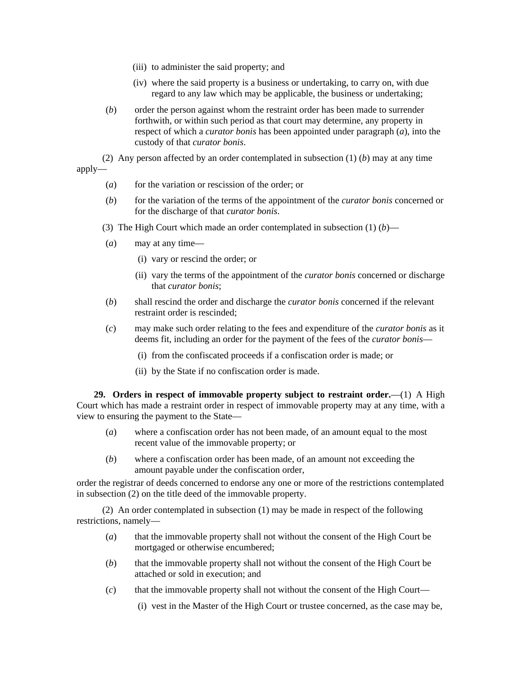- (iii) to administer the said property; and
- (iv) where the said property is a business or undertaking, to carry on, with due regard to any law which may be applicable, the business or undertaking;
- (*b*) order the person against whom the restraint order has been made to surrender forthwith, or within such period as that court may determine, any property in respect of which a *curator bonis* has been appointed under paragraph (*a*), into the custody of that *curator bonis*.

(2) Any person affected by an order contemplated in subsection (1) (*b*) may at any time apply—

- (*a*) for the variation or rescission of the order; or
- (*b*) for the variation of the terms of the appointment of the *curator bonis* concerned or for the discharge of that *curator bonis*.
- (3) The High Court which made an order contemplated in subsection  $(1)$   $(b)$ —
- (*a*) may at any time—
	- (i) vary or rescind the order; or
	- (ii) vary the terms of the appointment of the *curator bonis* concerned or discharge that *curator bonis*;
- (*b*) shall rescind the order and discharge the *curator bonis* concerned if the relevant restraint order is rescinded;
- (*c*) may make such order relating to the fees and expenditure of the *curator bonis* as it deems fit, including an order for the payment of the fees of the *curator bonis*—
	- (i) from the confiscated proceeds if a confiscation order is made; or
	- (ii) by the State if no confiscation order is made.

**29. Orders in respect of immovable property subject to restraint order.**—(1) A High Court which has made a restraint order in respect of immovable property may at any time, with a view to ensuring the payment to the State—

- (*a*) where a confiscation order has not been made, of an amount equal to the most recent value of the immovable property; or
- (*b*) where a confiscation order has been made, of an amount not exceeding the amount payable under the confiscation order,

order the registrar of deeds concerned to endorse any one or more of the restrictions contemplated in subsection (2) on the title deed of the immovable property.

(2) An order contemplated in subsection (1) may be made in respect of the following restrictions, namely—

- (*a*) that the immovable property shall not without the consent of the High Court be mortgaged or otherwise encumbered;
- (*b*) that the immovable property shall not without the consent of the High Court be attached or sold in execution; and
- (*c*) that the immovable property shall not without the consent of the High Court—
	- (i) vest in the Master of the High Court or trustee concerned, as the case may be,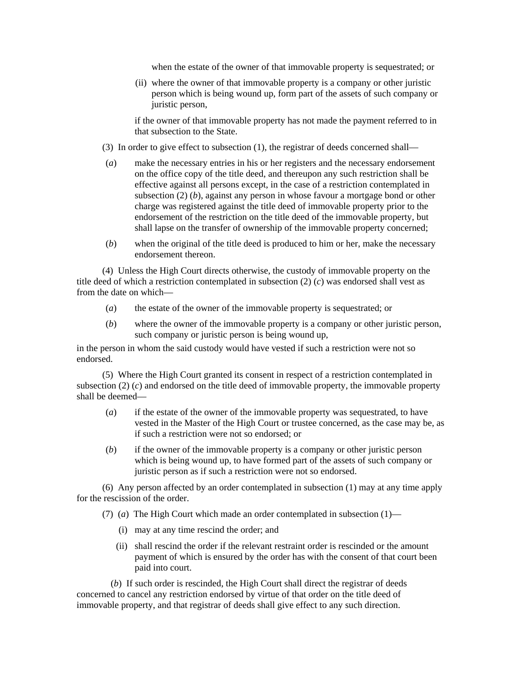when the estate of the owner of that immovable property is sequestrated; or

(ii) where the owner of that immovable property is a company or other juristic person which is being wound up, form part of the assets of such company or juristic person,

 if the owner of that immovable property has not made the payment referred to in that subsection to the State.

- (3) In order to give effect to subsection (1), the registrar of deeds concerned shall—
- (*a*) make the necessary entries in his or her registers and the necessary endorsement on the office copy of the title deed, and thereupon any such restriction shall be effective against all persons except, in the case of a restriction contemplated in subsection (2) (*b*), against any person in whose favour a mortgage bond or other charge was registered against the title deed of immovable property prior to the endorsement of the restriction on the title deed of the immovable property, but shall lapse on the transfer of ownership of the immovable property concerned;
- (*b*) when the original of the title deed is produced to him or her, make the necessary endorsement thereon.

(4) Unless the High Court directs otherwise, the custody of immovable property on the title deed of which a restriction contemplated in subsection (2) (*c*) was endorsed shall vest as from the date on which—

- (*a*) the estate of the owner of the immovable property is sequestrated; or
- (*b*) where the owner of the immovable property is a company or other juristic person, such company or juristic person is being wound up,

in the person in whom the said custody would have vested if such a restriction were not so endorsed.

(5) Where the High Court granted its consent in respect of a restriction contemplated in subsection (2) (*c*) and endorsed on the title deed of immovable property, the immovable property shall be deemed—

- (*a*) if the estate of the owner of the immovable property was sequestrated, to have vested in the Master of the High Court or trustee concerned, as the case may be, as if such a restriction were not so endorsed; or
- (*b*) if the owner of the immovable property is a company or other juristic person which is being wound up, to have formed part of the assets of such company or juristic person as if such a restriction were not so endorsed.

(6) Any person affected by an order contemplated in subsection (1) may at any time apply for the rescission of the order.

- (7) (*a*) The High Court which made an order contemplated in subsection (1)—
	- (i) may at any time rescind the order; and
	- (ii) shall rescind the order if the relevant restraint order is rescinded or the amount payment of which is ensured by the order has with the consent of that court been paid into court.

(*b*) If such order is rescinded, the High Court shall direct the registrar of deeds concerned to cancel any restriction endorsed by virtue of that order on the title deed of immovable property, and that registrar of deeds shall give effect to any such direction.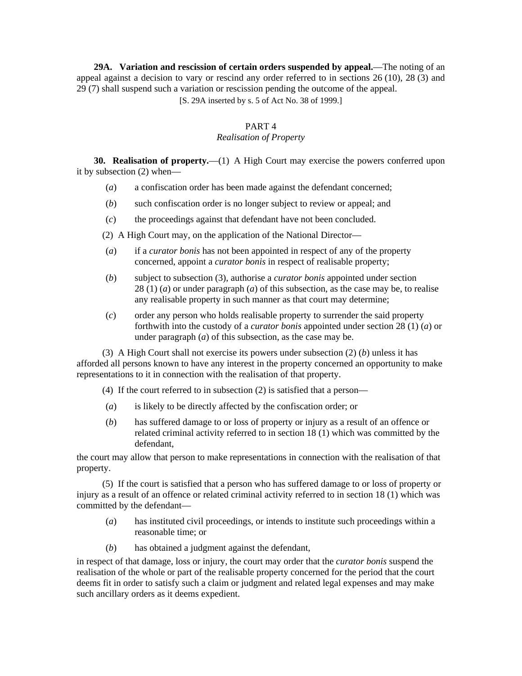**29A. Variation and rescission of certain orders suspended by appeal.**—The noting of an appeal against a decision to vary or rescind any order referred to in sections 26 (10), 28 (3) and 29 (7) shall suspend such a variation or rescission pending the outcome of the appeal. [S. 29A inserted by s. 5 of Act No. 38 of 1999.]

PART 4

# *Realisation of Property*

**30. Realisation of property.**—(1) A High Court may exercise the powers conferred upon it by subsection (2) when—

- (*a*) a confiscation order has been made against the defendant concerned;
- (*b*) such confiscation order is no longer subject to review or appeal; and
- (*c*) the proceedings against that defendant have not been concluded.
- (2) A High Court may, on the application of the National Director—
- (*a*) if a *curator bonis* has not been appointed in respect of any of the property concerned, appoint a *curator bonis* in respect of realisable property;
- (*b*) subject to subsection (3), authorise a *curator bonis* appointed under section 28 (1) (*a*) or under paragraph (*a*) of this subsection, as the case may be, to realise any realisable property in such manner as that court may determine;
- (*c*) order any person who holds realisable property to surrender the said property forthwith into the custody of a *curator bonis* appointed under section 28 (1) (*a*) or under paragraph (*a*) of this subsection, as the case may be.

(3) A High Court shall not exercise its powers under subsection (2) (*b*) unless it has afforded all persons known to have any interest in the property concerned an opportunity to make representations to it in connection with the realisation of that property.

(4) If the court referred to in subsection (2) is satisfied that a person—

- (*a*) is likely to be directly affected by the confiscation order; or
- (*b*) has suffered damage to or loss of property or injury as a result of an offence or related criminal activity referred to in section 18 (1) which was committed by the defendant,

the court may allow that person to make representations in connection with the realisation of that property.

(5) If the court is satisfied that a person who has suffered damage to or loss of property or injury as a result of an offence or related criminal activity referred to in section 18 (1) which was committed by the defendant—

- (*a*) has instituted civil proceedings, or intends to institute such proceedings within a reasonable time; or
- (*b*) has obtained a judgment against the defendant,

in respect of that damage, loss or injury, the court may order that the *curator bonis* suspend the realisation of the whole or part of the realisable property concerned for the period that the court deems fit in order to satisfy such a claim or judgment and related legal expenses and may make such ancillary orders as it deems expedient.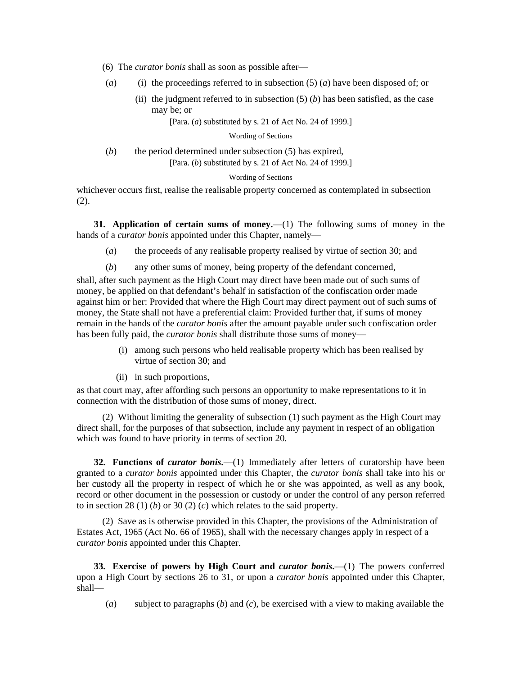(6) The *curator bonis* shall as soon as possible after—

- (*a*) (i) the proceedings referred to in subsection  $(5)(a)$  have been disposed of; or
	- (ii) the judgment referred to in subsection  $(5)$  (*b*) has been satisfied, as the case may be; or

[Para. (*a*) substituted by s. 21 of Act No. 24 of 1999.]

Wording of Sections

(*b*) the period determined under subsection (5) has expired,

[Para. (*b*) substituted by s. 21 of Act No. 24 of 1999.]

## Wording of Sections

whichever occurs first, realise the realisable property concerned as contemplated in subsection (2).

**31. Application of certain sums of money.**—(1) The following sums of money in the hands of a *curator bonis* appointed under this Chapter, namely—

- (*a*) the proceeds of any realisable property realised by virtue of section 30; and
- (*b*) any other sums of money, being property of the defendant concerned,

shall, after such payment as the High Court may direct have been made out of such sums of money, be applied on that defendant's behalf in satisfaction of the confiscation order made against him or her: Provided that where the High Court may direct payment out of such sums of money, the State shall not have a preferential claim: Provided further that, if sums of money remain in the hands of the *curator bonis* after the amount payable under such confiscation order has been fully paid, the *curator bonis* shall distribute those sums of money—

- (i) among such persons who held realisable property which has been realised by virtue of section 30; and
- (ii) in such proportions,

as that court may, after affording such persons an opportunity to make representations to it in connection with the distribution of those sums of money, direct.

(2) Without limiting the generality of subsection (1) such payment as the High Court may direct shall, for the purposes of that subsection, include any payment in respect of an obligation which was found to have priority in terms of section 20.

**32. Functions of** *curator bonis***.**—(1) Immediately after letters of curatorship have been granted to a *curator bonis* appointed under this Chapter, the *curator bonis* shall take into his or her custody all the property in respect of which he or she was appointed, as well as any book, record or other document in the possession or custody or under the control of any person referred to in section 28 (1) (*b*) or 30 (2) (*c*) which relates to the said property.

(2) Save as is otherwise provided in this Chapter, the provisions of the Administration of Estates Act, 1965 (Act No. 66 of 1965), shall with the necessary changes apply in respect of a *curator bonis* appointed under this Chapter.

**33. Exercise of powers by High Court and** *curator bonis***.**—(1) The powers conferred upon a High Court by sections 26 to 31, or upon a *curator bonis* appointed under this Chapter, shall—

(*a*) subject to paragraphs (*b*) and (*c*), be exercised with a view to making available the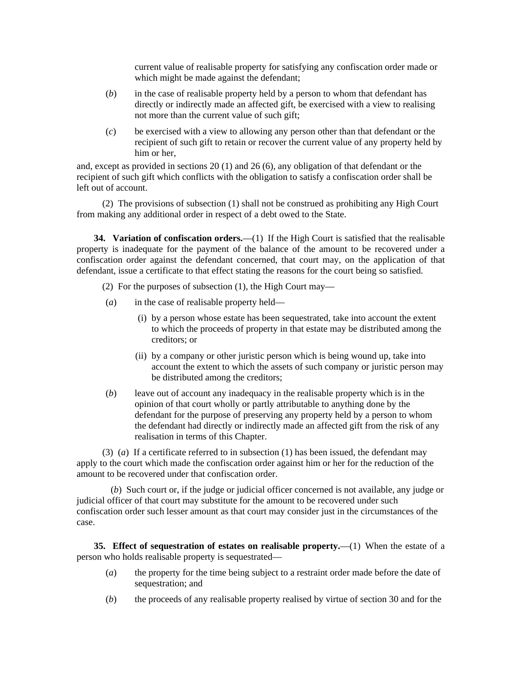current value of realisable property for satisfying any confiscation order made or which might be made against the defendant;

- (*b*) in the case of realisable property held by a person to whom that defendant has directly or indirectly made an affected gift, be exercised with a view to realising not more than the current value of such gift;
- (*c*) be exercised with a view to allowing any person other than that defendant or the recipient of such gift to retain or recover the current value of any property held by him or her,

and, except as provided in sections 20 (1) and 26 (6), any obligation of that defendant or the recipient of such gift which conflicts with the obligation to satisfy a confiscation order shall be left out of account.

(2) The provisions of subsection (1) shall not be construed as prohibiting any High Court from making any additional order in respect of a debt owed to the State.

**34. Variation of confiscation orders.**—(1) If the High Court is satisfied that the realisable property is inadequate for the payment of the balance of the amount to be recovered under a confiscation order against the defendant concerned, that court may, on the application of that defendant, issue a certificate to that effect stating the reasons for the court being so satisfied.

- (2) For the purposes of subsection (1), the High Court may—
- (*a*) in the case of realisable property held—
	- (i) by a person whose estate has been sequestrated, take into account the extent to which the proceeds of property in that estate may be distributed among the creditors; or
	- (ii) by a company or other juristic person which is being wound up, take into account the extent to which the assets of such company or juristic person may be distributed among the creditors;
- (*b*) leave out of account any inadequacy in the realisable property which is in the opinion of that court wholly or partly attributable to anything done by the defendant for the purpose of preserving any property held by a person to whom the defendant had directly or indirectly made an affected gift from the risk of any realisation in terms of this Chapter.

(3) (*a*) If a certificate referred to in subsection (1) has been issued, the defendant may apply to the court which made the confiscation order against him or her for the reduction of the amount to be recovered under that confiscation order.

(*b*) Such court or, if the judge or judicial officer concerned is not available, any judge or judicial officer of that court may substitute for the amount to be recovered under such confiscation order such lesser amount as that court may consider just in the circumstances of the case.

**35. Effect of sequestration of estates on realisable property.**—(1) When the estate of a person who holds realisable property is sequestrated—

- (*a*) the property for the time being subject to a restraint order made before the date of sequestration; and
- (*b*) the proceeds of any realisable property realised by virtue of section 30 and for the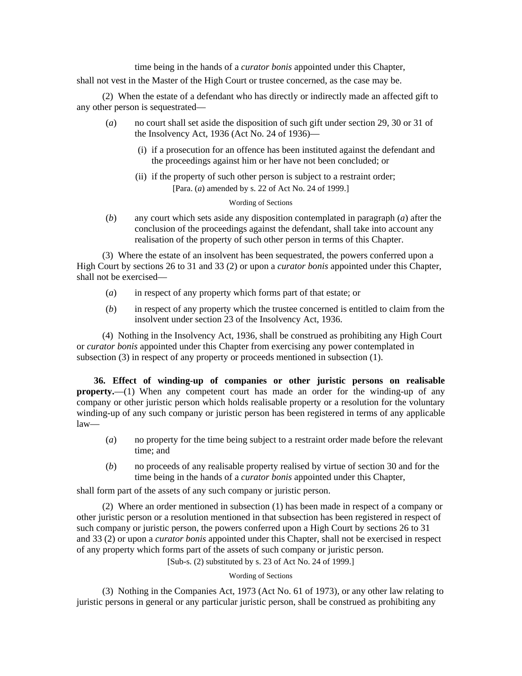time being in the hands of a *curator bonis* appointed under this Chapter, shall not vest in the Master of the High Court or trustee concerned, as the case may be.

(2) When the estate of a defendant who has directly or indirectly made an affected gift to any other person is sequestrated—

- (*a*) no court shall set aside the disposition of such gift under section 29, 30 or 31 of the Insolvency Act, 1936 (Act No. 24 of 1936)—
	- (i) if a prosecution for an offence has been instituted against the defendant and the proceedings against him or her have not been concluded; or
	- (ii) if the property of such other person is subject to a restraint order; [Para. (*a*) amended by s. 22 of Act No. 24 of 1999.]

#### Wording of Sections

(*b*) any court which sets aside any disposition contemplated in paragraph (*a*) after the conclusion of the proceedings against the defendant, shall take into account any realisation of the property of such other person in terms of this Chapter.

(3) Where the estate of an insolvent has been sequestrated, the powers conferred upon a High Court by sections 26 to 31 and 33 (2) or upon a *curator bonis* appointed under this Chapter, shall not be exercised—

- (*a*) in respect of any property which forms part of that estate; or
- (*b*) in respect of any property which the trustee concerned is entitled to claim from the insolvent under section 23 of the Insolvency Act, 1936.

(4) Nothing in the Insolvency Act, 1936, shall be construed as prohibiting any High Court or *curator bonis* appointed under this Chapter from exercising any power contemplated in subsection (3) in respect of any property or proceeds mentioned in subsection (1).

**36. Effect of winding-up of companies or other juristic persons on realisable property.**—(1) When any competent court has made an order for the winding-up of any company or other juristic person which holds realisable property or a resolution for the voluntary winding-up of any such company or juristic person has been registered in terms of any applicable law—

- (*a*) no property for the time being subject to a restraint order made before the relevant time; and
- (*b*) no proceeds of any realisable property realised by virtue of section 30 and for the time being in the hands of a *curator bonis* appointed under this Chapter,

shall form part of the assets of any such company or juristic person.

(2) Where an order mentioned in subsection (1) has been made in respect of a company or other juristic person or a resolution mentioned in that subsection has been registered in respect of such company or juristic person, the powers conferred upon a High Court by sections 26 to 31 and 33 (2) or upon a *curator bonis* appointed under this Chapter, shall not be exercised in respect of any property which forms part of the assets of such company or juristic person.

[Sub-s. (2) substituted by s. 23 of Act No. 24 of 1999.]

### Wording of Sections

(3) Nothing in the Companies Act, 1973 (Act No. 61 of 1973), or any other law relating to juristic persons in general or any particular juristic person, shall be construed as prohibiting any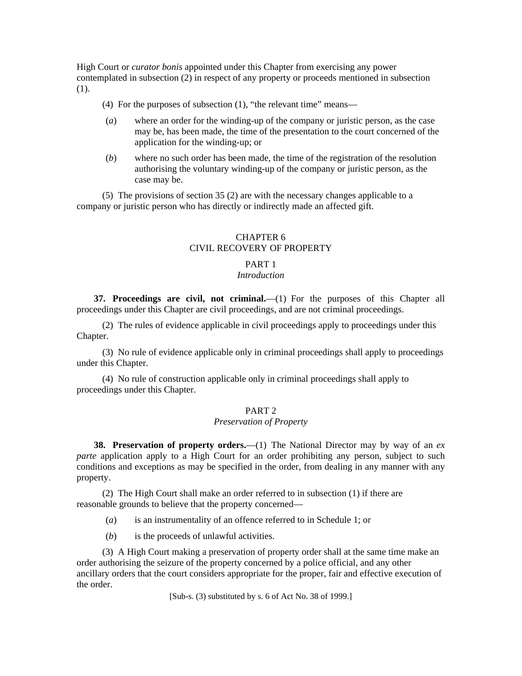High Court or *curator bonis* appointed under this Chapter from exercising any power contemplated in subsection (2) in respect of any property or proceeds mentioned in subsection (1).

- (4) For the purposes of subsection (1), "the relevant time" means—
- (*a*) where an order for the winding-up of the company or juristic person, as the case may be, has been made, the time of the presentation to the court concerned of the application for the winding-up; or
- (*b*) where no such order has been made, the time of the registration of the resolution authorising the voluntary winding-up of the company or juristic person, as the case may be.

(5) The provisions of section 35 (2) are with the necessary changes applicable to a company or juristic person who has directly or indirectly made an affected gift.

# CHAPTER 6 CIVIL RECOVERY OF PROPERTY

# PART 1

## *Introduction*

**37. Proceedings are civil, not criminal.**—(1) For the purposes of this Chapter all proceedings under this Chapter are civil proceedings, and are not criminal proceedings.

(2) The rules of evidence applicable in civil proceedings apply to proceedings under this Chapter.

(3) No rule of evidence applicable only in criminal proceedings shall apply to proceedings under this Chapter.

(4) No rule of construction applicable only in criminal proceedings shall apply to proceedings under this Chapter.

# PART<sub>2</sub>

#### *Preservation of Property*

**38. Preservation of property orders.**—(1) The National Director may by way of an *ex parte* application apply to a High Court for an order prohibiting any person, subject to such conditions and exceptions as may be specified in the order, from dealing in any manner with any property.

(2) The High Court shall make an order referred to in subsection (1) if there are reasonable grounds to believe that the property concerned—

(*a*) is an instrumentality of an offence referred to in Schedule 1; or

(*b*) is the proceeds of unlawful activities.

(3) A High Court making a preservation of property order shall at the same time make an order authorising the seizure of the property concerned by a police official, and any other ancillary orders that the court considers appropriate for the proper, fair and effective execution of the order.

[Sub-s. (3) substituted by s. 6 of Act No. 38 of 1999.]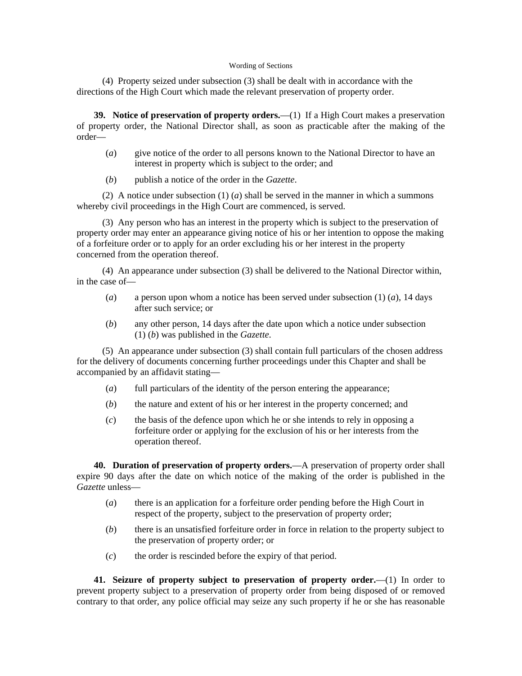### Wording of Sections

(4) Property seized under subsection (3) shall be dealt with in accordance with the directions of the High Court which made the relevant preservation of property order.

**39. Notice of preservation of property orders.**—(1) If a High Court makes a preservation of property order, the National Director shall, as soon as practicable after the making of the order—

- (*a*) give notice of the order to all persons known to the National Director to have an interest in property which is subject to the order; and
- (*b*) publish a notice of the order in the *Gazette*.

(2) A notice under subsection (1) (*a*) shall be served in the manner in which a summons whereby civil proceedings in the High Court are commenced, is served.

(3) Any person who has an interest in the property which is subject to the preservation of property order may enter an appearance giving notice of his or her intention to oppose the making of a forfeiture order or to apply for an order excluding his or her interest in the property concerned from the operation thereof.

(4) An appearance under subsection (3) shall be delivered to the National Director within, in the case of—

- (*a*) a person upon whom a notice has been served under subsection (1) (*a*), 14 days after such service; or
- (*b*) any other person, 14 days after the date upon which a notice under subsection (1) (*b*) was published in the *Gazette*.

(5) An appearance under subsection (3) shall contain full particulars of the chosen address for the delivery of documents concerning further proceedings under this Chapter and shall be accompanied by an affidavit stating—

- (*a*) full particulars of the identity of the person entering the appearance;
- (*b*) the nature and extent of his or her interest in the property concerned; and
- (*c*) the basis of the defence upon which he or she intends to rely in opposing a forfeiture order or applying for the exclusion of his or her interests from the operation thereof.

**40. Duration of preservation of property orders.**—A preservation of property order shall expire 90 days after the date on which notice of the making of the order is published in the *Gazette* unless—

- (*a*) there is an application for a forfeiture order pending before the High Court in respect of the property, subject to the preservation of property order;
- (*b*) there is an unsatisfied forfeiture order in force in relation to the property subject to the preservation of property order; or
- (*c*) the order is rescinded before the expiry of that period.

**41. Seizure of property subject to preservation of property order.**—(1) In order to prevent property subject to a preservation of property order from being disposed of or removed contrary to that order, any police official may seize any such property if he or she has reasonable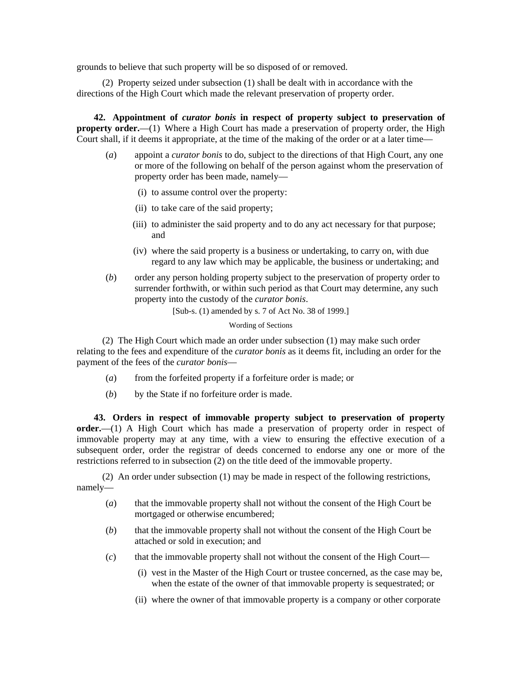grounds to believe that such property will be so disposed of or removed.

(2) Property seized under subsection (1) shall be dealt with in accordance with the directions of the High Court which made the relevant preservation of property order.

**42. Appointment of** *curator bonis* **in respect of property subject to preservation of property order.**—(1) Where a High Court has made a preservation of property order, the High Court shall, if it deems it appropriate, at the time of the making of the order or at a later time—

- (*a*) appoint a *curator bonis* to do, subject to the directions of that High Court, any one or more of the following on behalf of the person against whom the preservation of property order has been made, namely—
	- (i) to assume control over the property:
	- (ii) to take care of the said property;
	- (iii) to administer the said property and to do any act necessary for that purpose; and
	- (iv) where the said property is a business or undertaking, to carry on, with due regard to any law which may be applicable, the business or undertaking; and
- (*b*) order any person holding property subject to the preservation of property order to surrender forthwith, or within such period as that Court may determine, any such property into the custody of the *curator bonis*.

[Sub-s. (1) amended by s. 7 of Act No. 38 of 1999.]

Wording of Sections

(2) The High Court which made an order under subsection (1) may make such order relating to the fees and expenditure of the *curator bonis* as it deems fit, including an order for the payment of the fees of the *curator bonis*—

- (*a*) from the forfeited property if a forfeiture order is made; or
- (*b*) by the State if no forfeiture order is made.

**43. Orders in respect of immovable property subject to preservation of property order.**—(1) A High Court which has made a preservation of property order in respect of immovable property may at any time, with a view to ensuring the effective execution of a subsequent order, order the registrar of deeds concerned to endorse any one or more of the restrictions referred to in subsection (2) on the title deed of the immovable property.

(2) An order under subsection (1) may be made in respect of the following restrictions, namely—

- (*a*) that the immovable property shall not without the consent of the High Court be mortgaged or otherwise encumbered;
- (*b*) that the immovable property shall not without the consent of the High Court be attached or sold in execution; and
- (*c*) that the immovable property shall not without the consent of the High Court—
	- (i) vest in the Master of the High Court or trustee concerned, as the case may be, when the estate of the owner of that immovable property is sequestrated; or
	- (ii) where the owner of that immovable property is a company or other corporate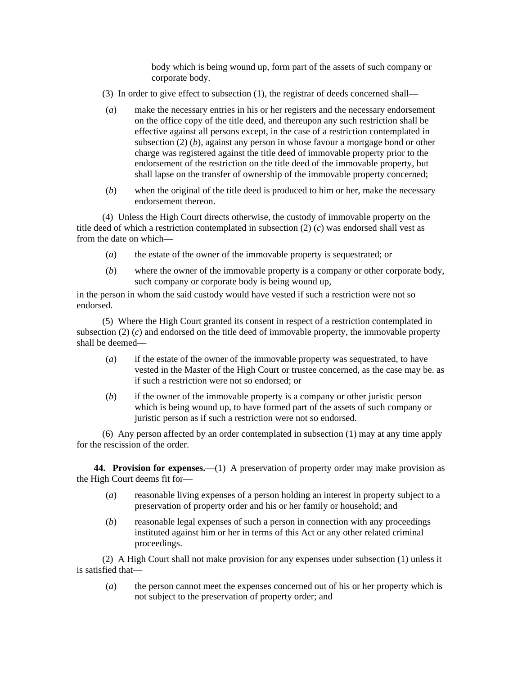body which is being wound up, form part of the assets of such company or corporate body.

- (3) In order to give effect to subsection (1), the registrar of deeds concerned shall—
- (*a*) make the necessary entries in his or her registers and the necessary endorsement on the office copy of the title deed, and thereupon any such restriction shall be effective against all persons except, in the case of a restriction contemplated in subsection (2) (*b*), against any person in whose favour a mortgage bond or other charge was registered against the title deed of immovable property prior to the endorsement of the restriction on the title deed of the immovable property, but shall lapse on the transfer of ownership of the immovable property concerned;
- (*b*) when the original of the title deed is produced to him or her, make the necessary endorsement thereon.

(4) Unless the High Court directs otherwise, the custody of immovable property on the title deed of which a restriction contemplated in subsection (2) (*c*) was endorsed shall vest as from the date on which—

- (*a*) the estate of the owner of the immovable property is sequestrated; or
- (*b*) where the owner of the immovable property is a company or other corporate body, such company or corporate body is being wound up,

in the person in whom the said custody would have vested if such a restriction were not so endorsed.

(5) Where the High Court granted its consent in respect of a restriction contemplated in subsection (2) (*c*) and endorsed on the title deed of immovable property, the immovable property shall be deemed—

- (*a*) if the estate of the owner of the immovable property was sequestrated, to have vested in the Master of the High Court or trustee concerned, as the case may be. as if such a restriction were not so endorsed; or
- (*b*) if the owner of the immovable property is a company or other juristic person which is being wound up, to have formed part of the assets of such company or juristic person as if such a restriction were not so endorsed.

(6) Any person affected by an order contemplated in subsection (1) may at any time apply for the rescission of the order.

**44. Provision for expenses.**—(1) A preservation of property order may make provision as the High Court deems fit for—

- (*a*) reasonable living expenses of a person holding an interest in property subject to a preservation of property order and his or her family or household; and
- (*b*) reasonable legal expenses of such a person in connection with any proceedings instituted against him or her in terms of this Act or any other related criminal proceedings.

(2) A High Court shall not make provision for any expenses under subsection (1) unless it is satisfied that—

(*a*) the person cannot meet the expenses concerned out of his or her property which is not subject to the preservation of property order; and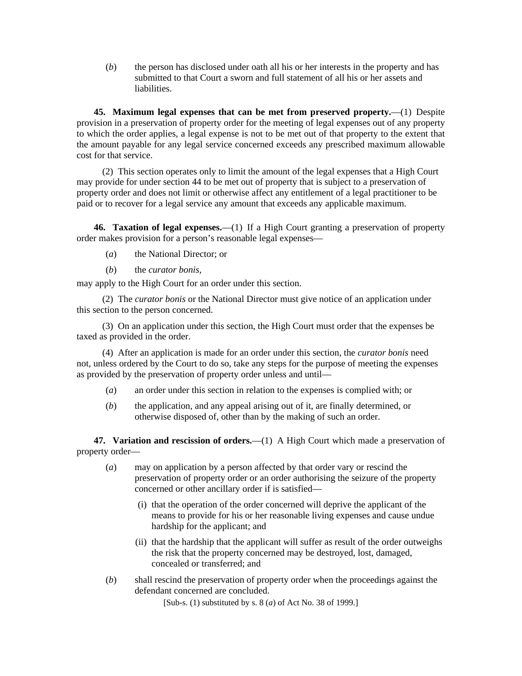(*b*) the person has disclosed under oath all his or her interests in the property and has submitted to that Court a sworn and full statement of all his or her assets and liabilities.

**45. Maximum legal expenses that can be met from preserved property.**—(1) Despite provision in a preservation of property order for the meeting of legal expenses out of any property to which the order applies, a legal expense is not to be met out of that property to the extent that the amount payable for any legal service concerned exceeds any prescribed maximum allowable cost for that service.

(2) This section operates only to limit the amount of the legal expenses that a High Court may provide for under section 44 to be met out of property that is subject to a preservation of property order and does not limit or otherwise affect any entitlement of a legal practitioner to be paid or to recover for a legal service any amount that exceeds any applicable maximum.

**46. Taxation of legal expenses.**—(1) If a High Court granting a preservation of property order makes provision for a person's reasonable legal expenses—

- (*a*) the National Director; or
- (*b*) the *curator bonis*,

may apply to the High Court for an order under this section.

(2) The *curator bonis* or the National Director must give notice of an application under this section to the person concerned.

(3) On an application under this section, the High Court must order that the expenses be taxed as provided in the order.

(4) After an application is made for an order under this section, the *curator bonis* need not, unless ordered by the Court to do so, take any steps for the purpose of meeting the expenses as provided by the preservation of property order unless and until—

- (*a*) an order under this section in relation to the expenses is complied with; or
- (*b*) the application, and any appeal arising out of it, are finally determined, or otherwise disposed of, other than by the making of such an order.

**47. Variation and rescission of orders.**—(1) A High Court which made a preservation of property order—

- (*a*) may on application by a person affected by that order vary or rescind the preservation of property order or an order authorising the seizure of the property concerned or other ancillary order if is satisfied—
	- (i) that the operation of the order concerned will deprive the applicant of the means to provide for his or her reasonable living expenses and cause undue hardship for the applicant; and
	- (ii) that the hardship that the applicant will suffer as result of the order outweighs the risk that the property concerned may be destroyed, lost, damaged, concealed or transferred; and
- (*b*) shall rescind the preservation of property order when the proceedings against the defendant concerned are concluded.

[Sub-s. (1) substituted by s. 8 (*a*) of Act No. 38 of 1999.]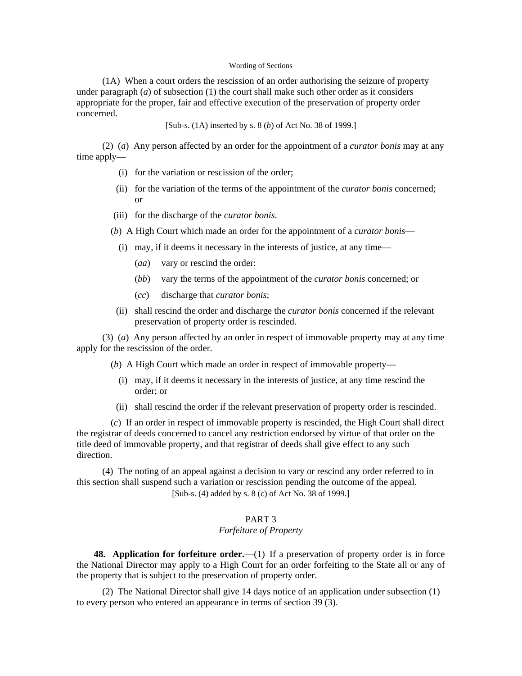#### Wording of Sections

(1A) When a court orders the rescission of an order authorising the seizure of property under paragraph  $(a)$  of subsection  $(1)$  the court shall make such other order as it considers appropriate for the proper, fair and effective execution of the preservation of property order concerned.

[Sub-s. (1A) inserted by s. 8 (*b*) of Act No. 38 of 1999.]

(2) (*a*) Any person affected by an order for the appointment of a *curator bonis* may at any time apply—

- (i) for the variation or rescission of the order;
- (ii) for the variation of the terms of the appointment of the *curator bonis* concerned; or
- (iii) for the discharge of the *curator bonis*.
- (*b*) A High Court which made an order for the appointment of a *curator bonis*
	- (i) may, if it deems it necessary in the interests of justice, at any time—
		- (*aa*) vary or rescind the order:
		- (*bb*) vary the terms of the appointment of the *curator bonis* concerned; or
		- (*cc*) discharge that *curator bonis*;
- (ii) shall rescind the order and discharge the *curator bonis* concerned if the relevant preservation of property order is rescinded.

(3) (*a*) Any person affected by an order in respect of immovable property may at any time apply for the rescission of the order.

(*b*) A High Court which made an order in respect of immovable property—

- (i) may, if it deems it necessary in the interests of justice, at any time rescind the order; or
- (ii) shall rescind the order if the relevant preservation of property order is rescinded.

(*c*) If an order in respect of immovable property is rescinded, the High Court shall direct the registrar of deeds concerned to cancel any restriction endorsed by virtue of that order on the title deed of immovable property, and that registrar of deeds shall give effect to any such direction.

(4) The noting of an appeal against a decision to vary or rescind any order referred to in this section shall suspend such a variation or rescission pending the outcome of the appeal. [Sub-s. (4) added by s. 8 (*c*) of Act No. 38 of 1999.]

#### PART 3

#### *Forfeiture of Property*

**48. Application for forfeiture order.**—(1) If a preservation of property order is in force the National Director may apply to a High Court for an order forfeiting to the State all or any of the property that is subject to the preservation of property order.

(2) The National Director shall give 14 days notice of an application under subsection (1) to every person who entered an appearance in terms of section 39 (3).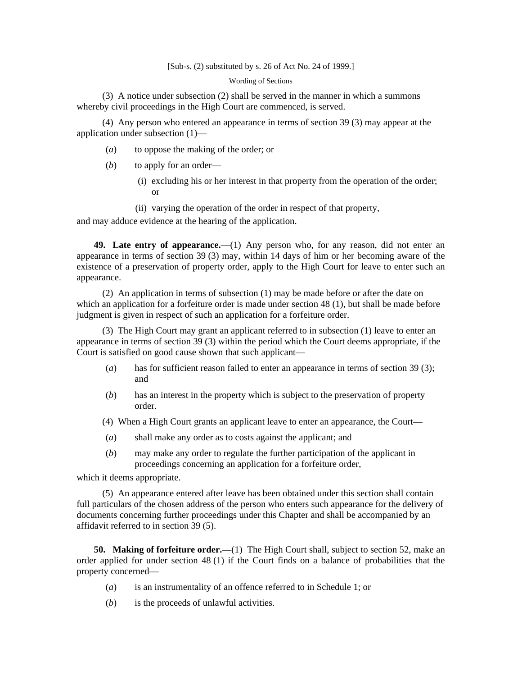## [Sub-s. (2) substituted by s. 26 of Act No. 24 of 1999.]

#### Wording of Sections

(3) A notice under subsection (2) shall be served in the manner in which a summons whereby civil proceedings in the High Court are commenced, is served.

(4) Any person who entered an appearance in terms of section 39 (3) may appear at the application under subsection (1)—

- (*a*) to oppose the making of the order; or
- (*b*) to apply for an order—
	- (i) excluding his or her interest in that property from the operation of the order; or
	- (ii) varying the operation of the order in respect of that property,

and may adduce evidence at the hearing of the application.

**49. Late entry of appearance.**—(1) Any person who, for any reason, did not enter an appearance in terms of section 39 (3) may, within 14 days of him or her becoming aware of the existence of a preservation of property order, apply to the High Court for leave to enter such an appearance.

(2) An application in terms of subsection (1) may be made before or after the date on which an application for a forfeiture order is made under section 48 (1), but shall be made before judgment is given in respect of such an application for a forfeiture order.

(3) The High Court may grant an applicant referred to in subsection (1) leave to enter an appearance in terms of section 39 (3) within the period which the Court deems appropriate, if the Court is satisfied on good cause shown that such applicant—

- (*a*) has for sufficient reason failed to enter an appearance in terms of section 39 (3); and
- (*b*) has an interest in the property which is subject to the preservation of property order.
- (4) When a High Court grants an applicant leave to enter an appearance, the Court—
- (*a*) shall make any order as to costs against the applicant; and
- (*b*) may make any order to regulate the further participation of the applicant in proceedings concerning an application for a forfeiture order,

which it deems appropriate.

(5) An appearance entered after leave has been obtained under this section shall contain full particulars of the chosen address of the person who enters such appearance for the delivery of documents concerning further proceedings under this Chapter and shall be accompanied by an affidavit referred to in section 39 (5).

**50. Making of forfeiture order.**—(1) The High Court shall, subject to section 52, make an order applied for under section 48 (1) if the Court finds on a balance of probabilities that the property concerned—

- (*a*) is an instrumentality of an offence referred to in Schedule 1; or
- (*b*) is the proceeds of unlawful activities.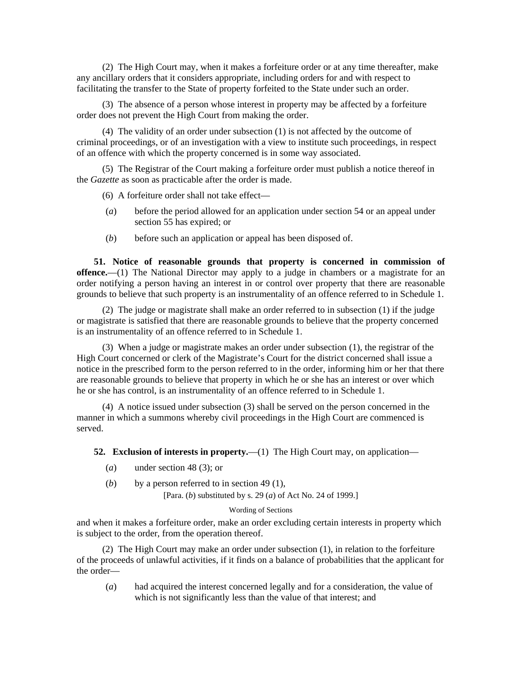(2) The High Court may, when it makes a forfeiture order or at any time thereafter, make any ancillary orders that it considers appropriate, including orders for and with respect to facilitating the transfer to the State of property forfeited to the State under such an order.

(3) The absence of a person whose interest in property may be affected by a forfeiture order does not prevent the High Court from making the order.

(4) The validity of an order under subsection (1) is not affected by the outcome of criminal proceedings, or of an investigation with a view to institute such proceedings, in respect of an offence with which the property concerned is in some way associated.

(5) The Registrar of the Court making a forfeiture order must publish a notice thereof in the *Gazette* as soon as practicable after the order is made.

(6) A forfeiture order shall not take effect—

- (*a*) before the period allowed for an application under section 54 or an appeal under section 55 has expired; or
- (*b*) before such an application or appeal has been disposed of.

**51. Notice of reasonable grounds that property is concerned in commission of offence.**—(1) The National Director may apply to a judge in chambers or a magistrate for an order notifying a person having an interest in or control over property that there are reasonable grounds to believe that such property is an instrumentality of an offence referred to in Schedule 1.

(2) The judge or magistrate shall make an order referred to in subsection (1) if the judge or magistrate is satisfied that there are reasonable grounds to believe that the property concerned is an instrumentality of an offence referred to in Schedule 1.

(3) When a judge or magistrate makes an order under subsection (1), the registrar of the High Court concerned or clerk of the Magistrate's Court for the district concerned shall issue a notice in the prescribed form to the person referred to in the order, informing him or her that there are reasonable grounds to believe that property in which he or she has an interest or over which he or she has control, is an instrumentality of an offence referred to in Schedule 1.

(4) A notice issued under subsection (3) shall be served on the person concerned in the manner in which a summons whereby civil proceedings in the High Court are commenced is served.

**52. Exclusion of interests in property.**—(1) The High Court may, on application—

- (*a*) under section 48 (3); or
- (*b*) by a person referred to in section 49 (1),

[Para. (*b*) substituted by s. 29 (*a*) of Act No. 24 of 1999.]

#### Wording of Sections

and when it makes a forfeiture order, make an order excluding certain interests in property which is subject to the order, from the operation thereof.

(2) The High Court may make an order under subsection (1), in relation to the forfeiture of the proceeds of unlawful activities, if it finds on a balance of probabilities that the applicant for the order—

(*a*) had acquired the interest concerned legally and for a consideration, the value of which is not significantly less than the value of that interest; and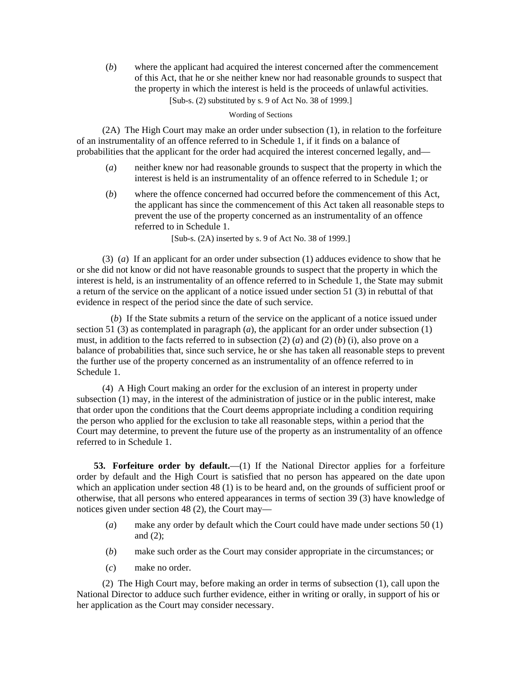(*b*) where the applicant had acquired the interest concerned after the commencement of this Act, that he or she neither knew nor had reasonable grounds to suspect that the property in which the interest is held is the proceeds of unlawful activities.  $[Sub-s. (2)$  substituted by s. 9 of Act No. 38 of 1999.]

#### Wording of Sections

(2A) The High Court may make an order under subsection (1), in relation to the forfeiture of an instrumentality of an offence referred to in Schedule 1, if it finds on a balance of probabilities that the applicant for the order had acquired the interest concerned legally, and—

- (*a*) neither knew nor had reasonable grounds to suspect that the property in which the interest is held is an instrumentality of an offence referred to in Schedule 1; or
- (*b*) where the offence concerned had occurred before the commencement of this Act, the applicant has since the commencement of this Act taken all reasonable steps to prevent the use of the property concerned as an instrumentality of an offence referred to in Schedule 1.

[Sub-s. (2A) inserted by s. 9 of Act No. 38 of 1999.]

(3) (*a*) If an applicant for an order under subsection (1) adduces evidence to show that he or she did not know or did not have reasonable grounds to suspect that the property in which the interest is held, is an instrumentality of an offence referred to in Schedule 1, the State may submit a return of the service on the applicant of a notice issued under section 51 (3) in rebuttal of that evidence in respect of the period since the date of such service.

(*b*) If the State submits a return of the service on the applicant of a notice issued under section 51 (3) as contemplated in paragraph  $(a)$ , the applicant for an order under subsection  $(1)$ must, in addition to the facts referred to in subsection  $(2)$   $(a)$  and  $(2)$   $(b)$   $(i)$ , also prove on a balance of probabilities that, since such service, he or she has taken all reasonable steps to prevent the further use of the property concerned as an instrumentality of an offence referred to in Schedule 1.

(4) A High Court making an order for the exclusion of an interest in property under subsection (1) may, in the interest of the administration of justice or in the public interest, make that order upon the conditions that the Court deems appropriate including a condition requiring the person who applied for the exclusion to take all reasonable steps, within a period that the Court may determine, to prevent the future use of the property as an instrumentality of an offence referred to in Schedule 1.

**53. Forfeiture order by default.**—(1) If the National Director applies for a forfeiture order by default and the High Court is satisfied that no person has appeared on the date upon which an application under section 48 (1) is to be heard and, on the grounds of sufficient proof or otherwise, that all persons who entered appearances in terms of section 39 (3) have knowledge of notices given under section 48 (2), the Court may—

- (*a*) make any order by default which the Court could have made under sections 50 (1) and  $(2)$ ;
- (*b*) make such order as the Court may consider appropriate in the circumstances; or
- (*c*) make no order.

(2) The High Court may, before making an order in terms of subsection (1), call upon the National Director to adduce such further evidence, either in writing or orally, in support of his or her application as the Court may consider necessary.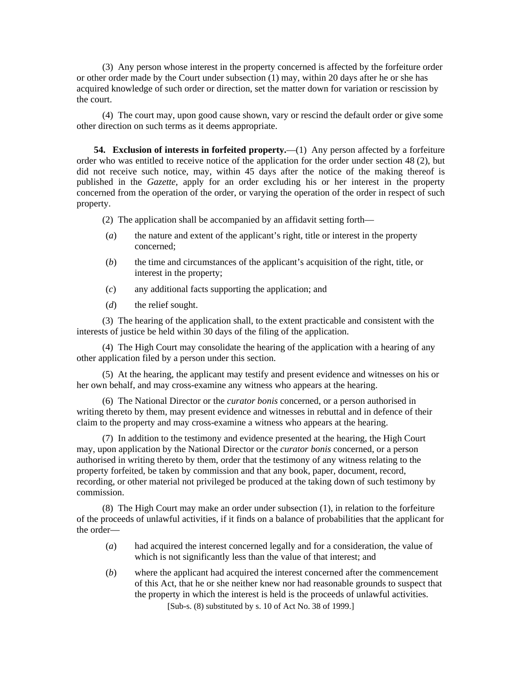(3) Any person whose interest in the property concerned is affected by the forfeiture order or other order made by the Court under subsection (1) may, within 20 days after he or she has acquired knowledge of such order or direction, set the matter down for variation or rescission by the court.

(4) The court may, upon good cause shown, vary or rescind the default order or give some other direction on such terms as it deems appropriate.

**54. Exclusion of interests in forfeited property.**—(1) Any person affected by a forfeiture order who was entitled to receive notice of the application for the order under section 48 (2), but did not receive such notice, may, within 45 days after the notice of the making thereof is published in the *Gazette*, apply for an order excluding his or her interest in the property concerned from the operation of the order, or varying the operation of the order in respect of such property.

- (2) The application shall be accompanied by an affidavit setting forth—
- (*a*) the nature and extent of the applicant's right, title or interest in the property concerned;
- (*b*) the time and circumstances of the applicant's acquisition of the right, title, or interest in the property;
- (*c*) any additional facts supporting the application; and
- (*d*) the relief sought.

(3) The hearing of the application shall, to the extent practicable and consistent with the interests of justice be held within 30 days of the filing of the application.

(4) The High Court may consolidate the hearing of the application with a hearing of any other application filed by a person under this section.

(5) At the hearing, the applicant may testify and present evidence and witnesses on his or her own behalf, and may cross-examine any witness who appears at the hearing.

(6) The National Director or the *curator bonis* concerned, or a person authorised in writing thereto by them, may present evidence and witnesses in rebuttal and in defence of their claim to the property and may cross-examine a witness who appears at the hearing.

(7) In addition to the testimony and evidence presented at the hearing, the High Court may, upon application by the National Director or the *curator bonis* concerned, or a person authorised in writing thereto by them, order that the testimony of any witness relating to the property forfeited, be taken by commission and that any book, paper, document, record, recording, or other material not privileged be produced at the taking down of such testimony by commission.

(8) The High Court may make an order under subsection (1), in relation to the forfeiture of the proceeds of unlawful activities, if it finds on a balance of probabilities that the applicant for the order—

- (*a*) had acquired the interest concerned legally and for a consideration, the value of which is not significantly less than the value of that interest; and
- (*b*) where the applicant had acquired the interest concerned after the commencement of this Act, that he or she neither knew nor had reasonable grounds to suspect that the property in which the interest is held is the proceeds of unlawful activities. [Sub-s. (8) substituted by s. 10 of Act No. 38 of 1999.]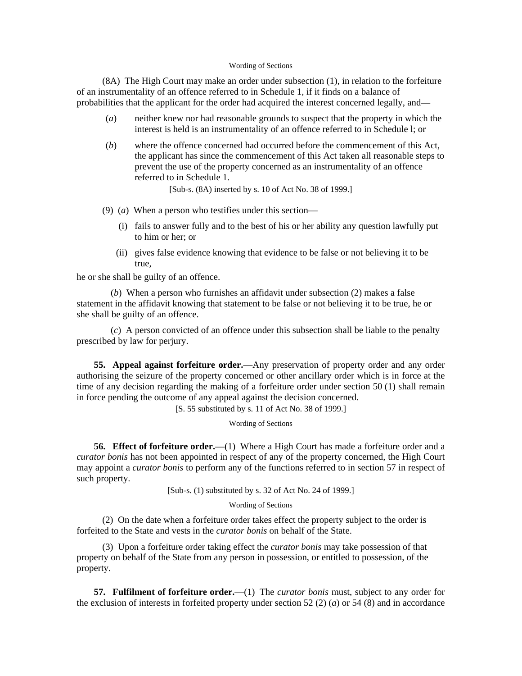#### Wording of Sections

(8A) The High Court may make an order under subsection (1), in relation to the forfeiture of an instrumentality of an offence referred to in Schedule 1, if it finds on a balance of probabilities that the applicant for the order had acquired the interest concerned legally, and—

- (*a*) neither knew nor had reasonable grounds to suspect that the property in which the interest is held is an instrumentality of an offence referred to in Schedule l; or
- (*b*) where the offence concerned had occurred before the commencement of this Act, the applicant has since the commencement of this Act taken all reasonable steps to prevent the use of the property concerned as an instrumentality of an offence referred to in Schedule 1.

[Sub-s. (8A) inserted by s. 10 of Act No. 38 of 1999.]

- (9) (*a*) When a person who testifies under this section—
	- (i) fails to answer fully and to the best of his or her ability any question lawfully put to him or her; or
	- (ii) gives false evidence knowing that evidence to be false or not believing it to be true,

he or she shall be guilty of an offence.

(*b*) When a person who furnishes an affidavit under subsection (2) makes a false statement in the affidavit knowing that statement to be false or not believing it to be true, he or she shall be guilty of an offence.

(*c*) A person convicted of an offence under this subsection shall be liable to the penalty prescribed by law for perjury.

**55. Appeal against forfeiture order.**—Any preservation of property order and any order authorising the seizure of the property concerned or other ancillary order which is in force at the time of any decision regarding the making of a forfeiture order under section 50 (1) shall remain in force pending the outcome of any appeal against the decision concerned.

[S. 55 substituted by s. 11 of Act No. 38 of 1999.]

Wording of Sections

**56. Effect of forfeiture order.**—(1) Where a High Court has made a forfeiture order and a *curator bonis* has not been appointed in respect of any of the property concerned, the High Court may appoint a *curator bonis* to perform any of the functions referred to in section 57 in respect of such property.

[Sub-s. (1) substituted by s. 32 of Act No. 24 of 1999.]

#### Wording of Sections

(2) On the date when a forfeiture order takes effect the property subject to the order is forfeited to the State and vests in the *curator bonis* on behalf of the State.

(3) Upon a forfeiture order taking effect the *curator bonis* may take possession of that property on behalf of the State from any person in possession, or entitled to possession, of the property.

**57. Fulfilment of forfeiture order.**—(1) The *curator bonis* must, subject to any order for the exclusion of interests in forfeited property under section 52 (2) (*a*) or 54 (8) and in accordance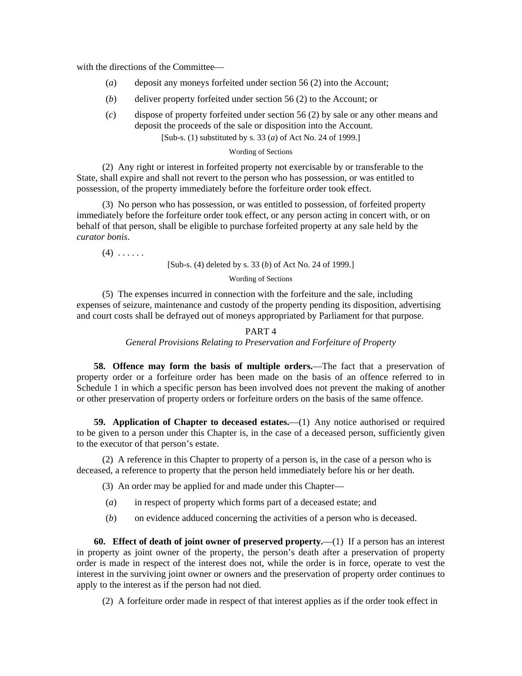with the directions of the Committee—

- (*a*) deposit any moneys forfeited under section 56 (2) into the Account;
- (*b*) deliver property forfeited under section 56 (2) to the Account; or
- (*c*) dispose of property forfeited under section 56 (2) by sale or any other means and deposit the proceeds of the sale or disposition into the Account. [Sub-s. (1) substituted by s. 33 (*a*) of Act No. 24 of 1999.]

# Wording of Sections

(2) Any right or interest in forfeited property not exercisable by or transferable to the State, shall expire and shall not revert to the person who has possession, or was entitled to possession, of the property immediately before the forfeiture order took effect.

(3) No person who has possession, or was entitled to possession, of forfeited property immediately before the forfeiture order took effect, or any person acting in concert with, or on behalf of that person, shall be eligible to purchase forfeited property at any sale held by the *curator bonis*.

 $(4)$  . . . . . .

#### [Sub-s. (4) deleted by s. 33 (*b*) of Act No. 24 of 1999.]

#### Wording of Sections

(5) The expenses incurred in connection with the forfeiture and the sale, including expenses of seizure, maintenance and custody of the property pending its disposition, advertising and court costs shall be defrayed out of moneys appropriated by Parliament for that purpose.

### PART 4

# *General Provisions Relating to Preservation and Forfeiture of Property*

**58. Offence may form the basis of multiple orders.**—The fact that a preservation of property order or a forfeiture order has been made on the basis of an offence referred to in Schedule 1 in which a specific person has been involved does not prevent the making of another or other preservation of property orders or forfeiture orders on the basis of the same offence.

**59. Application of Chapter to deceased estates.**—(1) Any notice authorised or required to be given to a person under this Chapter is, in the case of a deceased person, sufficiently given to the executor of that person's estate.

(2) A reference in this Chapter to property of a person is, in the case of a person who is deceased, a reference to property that the person held immediately before his or her death.

(3) An order may be applied for and made under this Chapter—

- (*a*) in respect of property which forms part of a deceased estate; and
- (*b*) on evidence adduced concerning the activities of a person who is deceased.

**60. Effect of death of joint owner of preserved property.**—(1) If a person has an interest in property as joint owner of the property, the person's death after a preservation of property order is made in respect of the interest does not, while the order is in force, operate to vest the interest in the surviving joint owner or owners and the preservation of property order continues to apply to the interest as if the person had not died.

(2) A forfeiture order made in respect of that interest applies as if the order took effect in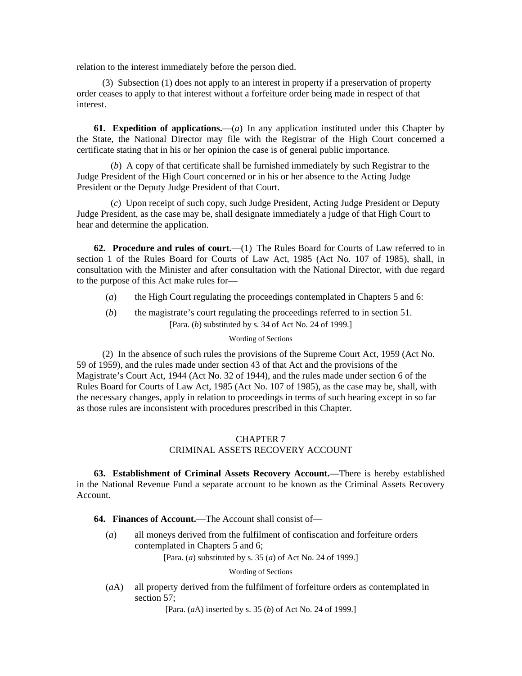relation to the interest immediately before the person died.

(3) Subsection (1) does not apply to an interest in property if a preservation of property order ceases to apply to that interest without a forfeiture order being made in respect of that interest.

**61. Expedition of applications.**—(*a*) In any application instituted under this Chapter by the State, the National Director may file with the Registrar of the High Court concerned a certificate stating that in his or her opinion the case is of general public importance.

(*b*) A copy of that certificate shall be furnished immediately by such Registrar to the Judge President of the High Court concerned or in his or her absence to the Acting Judge President or the Deputy Judge President of that Court.

(*c*) Upon receipt of such copy, such Judge President, Acting Judge President or Deputy Judge President, as the case may be, shall designate immediately a judge of that High Court to hear and determine the application.

**62. Procedure and rules of court.**—(1) The Rules Board for Courts of Law referred to in section 1 of the Rules Board for Courts of Law Act, 1985 (Act No. 107 of 1985), shall, in consultation with the Minister and after consultation with the National Director, with due regard to the purpose of this Act make rules for—

- (*a*) the High Court regulating the proceedings contemplated in Chapters 5 and 6:
- (*b*) the magistrate's court regulating the proceedings referred to in section 51. [Para. (*b*) substituted by s. 34 of Act No. 24 of 1999.]

## Wording of Sections

(2) In the absence of such rules the provisions of the Supreme Court Act, 1959 (Act No. 59 of 1959), and the rules made under section 43 of that Act and the provisions of the Magistrate's Court Act, 1944 (Act No. 32 of 1944), and the rules made under section 6 of the Rules Board for Courts of Law Act, 1985 (Act No. 107 of 1985), as the case may be, shall, with the necessary changes, apply in relation to proceedings in terms of such hearing except in so far as those rules are inconsistent with procedures prescribed in this Chapter.

#### CHAPTER 7 CRIMINAL ASSETS RECOVERY ACCOUNT

**63. Establishment of Criminal Assets Recovery Account.**—There is hereby established in the National Revenue Fund a separate account to be known as the Criminal Assets Recovery Account.

**64. Finances of Account.**—The Account shall consist of—

(*a*) all moneys derived from the fulfilment of confiscation and forfeiture orders contemplated in Chapters 5 and 6;

[Para. (*a*) substituted by s. 35 (*a*) of Act No. 24 of 1999.]

Wording of Sections

(*a*A) all property derived from the fulfilment of forfeiture orders as contemplated in section 57;

[Para. (*a*A) inserted by s. 35 (*b*) of Act No. 24 of 1999.]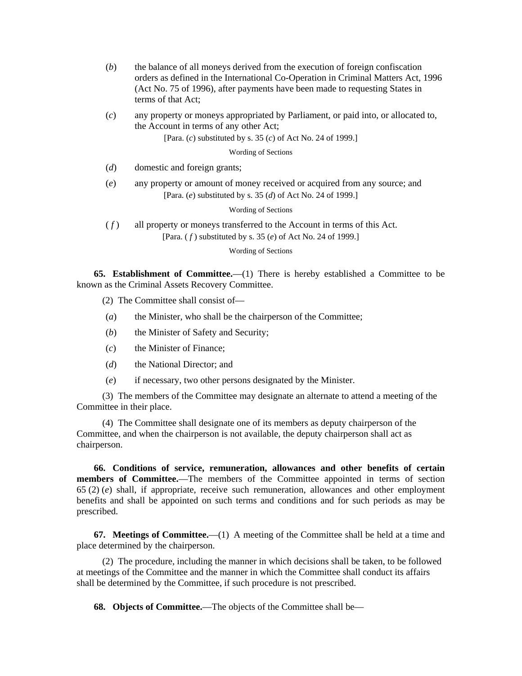- (*b*) the balance of all moneys derived from the execution of foreign confiscation orders as defined in the International Co-Operation in Criminal Matters Act, 1996 (Act No. 75 of 1996), after payments have been made to requesting States in terms of that Act;
- (*c*) any property or moneys appropriated by Parliament, or paid into, or allocated to, the Account in terms of any other Act;

[Para. (*c*) substituted by s. 35 (*c*) of Act No. 24 of 1999.]

Wording of Sections

- (*d*) domestic and foreign grants;
- (*e*) any property or amount of money received or acquired from any source; and [Para. (*e*) substituted by s. 35 (*d*) of Act No. 24 of 1999.]

Wording of Sections

 $(f)$  all property or moneys transferred to the Account in terms of this Act. [Para. (*f*) substituted by s. 35 (*e*) of Act No. 24 of 1999.]

## Wording of Sections

**65. Establishment of Committee.**—(1) There is hereby established a Committee to be known as the Criminal Assets Recovery Committee.

(2) The Committee shall consist of—

- (*a*) the Minister, who shall be the chairperson of the Committee;
- (*b*) the Minister of Safety and Security;
- (*c*) the Minister of Finance;
- (*d*) the National Director; and
- (*e*) if necessary, two other persons designated by the Minister.

(3) The members of the Committee may designate an alternate to attend a meeting of the Committee in their place.

(4) The Committee shall designate one of its members as deputy chairperson of the Committee, and when the chairperson is not available, the deputy chairperson shall act as chairperson.

**66. Conditions of service, remuneration, allowances and other benefits of certain members of Committee.**—The members of the Committee appointed in terms of section 65 (2) (*e*) shall, if appropriate, receive such remuneration, allowances and other employment benefits and shall be appointed on such terms and conditions and for such periods as may be prescribed.

**67. Meetings of Committee.**—(1) A meeting of the Committee shall be held at a time and place determined by the chairperson.

(2) The procedure, including the manner in which decisions shall be taken, to be followed at meetings of the Committee and the manner in which the Committee shall conduct its affairs shall be determined by the Committee, if such procedure is not prescribed.

**68. Objects of Committee.**—The objects of the Committee shall be—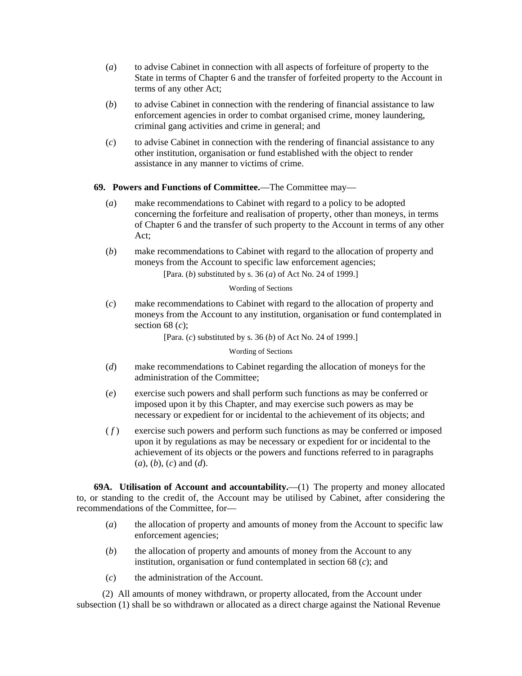- (*a*) to advise Cabinet in connection with all aspects of forfeiture of property to the State in terms of Chapter 6 and the transfer of forfeited property to the Account in terms of any other Act;
- (*b*) to advise Cabinet in connection with the rendering of financial assistance to law enforcement agencies in order to combat organised crime, money laundering, criminal gang activities and crime in general; and
- (*c*) to advise Cabinet in connection with the rendering of financial assistance to any other institution, organisation or fund established with the object to render assistance in any manner to victims of crime.

# **69. Powers and Functions of Committee.**—The Committee may—

- (*a*) make recommendations to Cabinet with regard to a policy to be adopted concerning the forfeiture and realisation of property, other than moneys, in terms of Chapter 6 and the transfer of such property to the Account in terms of any other Act;
- (*b*) make recommendations to Cabinet with regard to the allocation of property and moneys from the Account to specific law enforcement agencies;

[Para. (*b*) substituted by s. 36 (*a*) of Act No. 24 of 1999.]

### Wording of Sections

(*c*) make recommendations to Cabinet with regard to the allocation of property and moneys from the Account to any institution, organisation or fund contemplated in section 68 (*c*);

[Para. (*c*) substituted by s. 36 (*b*) of Act No. 24 of 1999.]

Wording of Sections

- (*d*) make recommendations to Cabinet regarding the allocation of moneys for the administration of the Committee;
- (*e*) exercise such powers and shall perform such functions as may be conferred or imposed upon it by this Chapter, and may exercise such powers as may be necessary or expedient for or incidental to the achievement of its objects; and
- (*f*) exercise such powers and perform such functions as may be conferred or imposed upon it by regulations as may be necessary or expedient for or incidental to the achievement of its objects or the powers and functions referred to in paragraphs (*a*), (*b*), (*c*) and (*d*).

**69A. Utilisation of Account and accountability.**—(1) The property and money allocated to, or standing to the credit of, the Account may be utilised by Cabinet, after considering the recommendations of the Committee, for—

- (*a*) the allocation of property and amounts of money from the Account to specific law enforcement agencies;
- (*b*) the allocation of property and amounts of money from the Account to any institution, organisation or fund contemplated in section 68 (*c*); and
- (*c*) the administration of the Account.

(2) All amounts of money withdrawn, or property allocated, from the Account under subsection (1) shall be so withdrawn or allocated as a direct charge against the National Revenue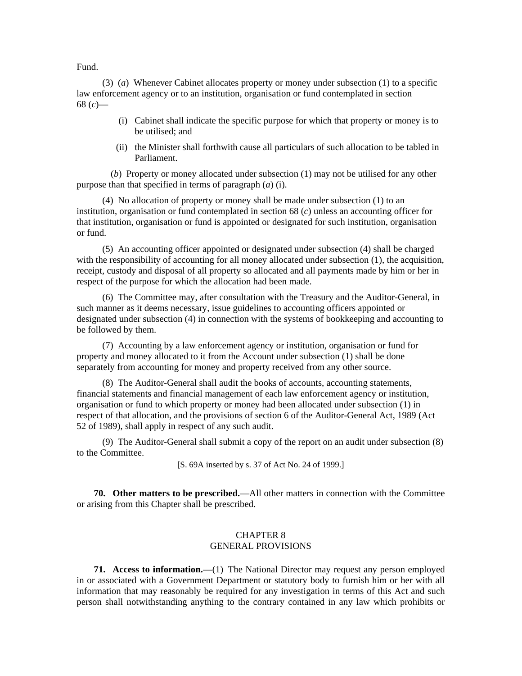Fund.

(3) (*a*)Whenever Cabinet allocates property or money under subsection (1) to a specific law enforcement agency or to an institution, organisation or fund contemplated in section 68 (*c*)—

- (i) Cabinet shall indicate the specific purpose for which that property or money is to be utilised; and
- (ii) the Minister shall forthwith cause all particulars of such allocation to be tabled in Parliament.

(*b*) Property or money allocated under subsection (1) may not be utilised for any other purpose than that specified in terms of paragraph (*a*) (i).

(4) No allocation of property or money shall be made under subsection (1) to an institution, organisation or fund contemplated in section 68 (*c*) unless an accounting officer for that institution, organisation or fund is appointed or designated for such institution, organisation or fund.

(5) An accounting officer appointed or designated under subsection (4) shall be charged with the responsibility of accounting for all money allocated under subsection (1), the acquisition, receipt, custody and disposal of all property so allocated and all payments made by him or her in respect of the purpose for which the allocation had been made.

(6) The Committee may, after consultation with the Treasury and the Auditor-General, in such manner as it deems necessary, issue guidelines to accounting officers appointed or designated under subsection (4) in connection with the systems of bookkeeping and accounting to be followed by them.

(7) Accounting by a law enforcement agency or institution, organisation or fund for property and money allocated to it from the Account under subsection (1) shall be done separately from accounting for money and property received from any other source.

(8) The Auditor-General shall audit the books of accounts, accounting statements, financial statements and financial management of each law enforcement agency or institution, organisation or fund to which property or money had been allocated under subsection (1) in respect of that allocation, and the provisions of section 6 of the Auditor-General Act, 1989 (Act 52 of 1989), shall apply in respect of any such audit.

(9) The Auditor-General shall submit a copy of the report on an audit under subsection (8) to the Committee.

[S. 69A inserted by s. 37 of Act No. 24 of 1999.]

**70. Other matters to be prescribed.**—All other matters in connection with the Committee or arising from this Chapter shall be prescribed.

# CHAPTER 8 GENERAL PROVISIONS

**71. Access to information.**—(1) The National Director may request any person employed in or associated with a Government Department or statutory body to furnish him or her with all information that may reasonably be required for any investigation in terms of this Act and such person shall notwithstanding anything to the contrary contained in any law which prohibits or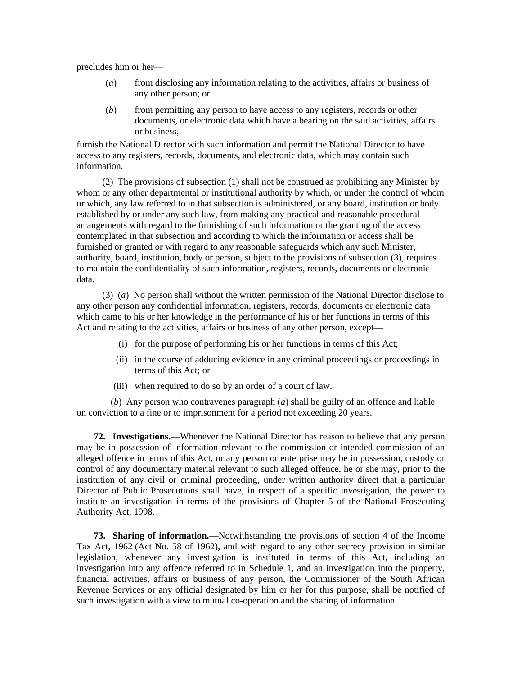precludes him or her—

- (*a*) from disclosing any information relating to the activities, affairs or business of any other person; or
- (*b*) from permitting any person to have access to any registers, records or other documents, or electronic data which have a bearing on the said activities, affairs or business,

furnish the National Director with such information and permit the National Director to have access to any registers, records, documents, and electronic data, which may contain such information.

(2) The provisions of subsection (1) shall not be construed as prohibiting any Minister by whom or any other departmental or institutional authority by which, or under the control of whom or which, any law referred to in that subsection is administered, or any board, institution or body established by or under any such law, from making any practical and reasonable procedural arrangements with regard to the furnishing of such information or the granting of the access contemplated in that subsection and according to which the information or access shall be furnished or granted or with regard to any reasonable safeguards which any such Minister, authority, board, institution, body or person, subject to the provisions of subsection (3), requires to maintain the confidentiality of such information, registers, records, documents or electronic data.

(3) (*a*) No person shall without the written permission of the National Director disclose to any other person any confidential information, registers, records, documents or electronic data which came to his or her knowledge in the performance of his or her functions in terms of this Act and relating to the activities, affairs or business of any other person, except—

- (i) for the purpose of performing his or her functions in terms of this Act;
- (ii) in the course of adducing evidence in any criminal proceedings or proceedings in terms of this Act; or
- (iii) when required to do so by an order of a court of law.

(*b*) Any person who contravenes paragraph (*a*) shall be guilty of an offence and liable on conviction to a fine or to imprisonment for a period not exceeding 20 years.

**72. Investigations.**—Whenever the National Director has reason to believe that any person may be in possession of information relevant to the commission or intended commission of an alleged offence in terms of this Act, or any person or enterprise may be in possession, custody or control of any documentary material relevant to such alleged offence, he or she may, prior to the institution of any civil or criminal proceeding, under written authority direct that a particular Director of Public Prosecutions shall have, in respect of a specific investigation, the power to institute an investigation in terms of the provisions of Chapter 5 of the National Prosecuting Authority Act, 1998.

**73. Sharing of information.**—Notwithstanding the provisions of section 4 of the Income Tax Act, 1962 (Act No. 58 of 1962), and with regard to any other secrecy provision in similar legislation, whenever any investigation is instituted in terms of this Act, including an investigation into any offence referred to in Schedule 1, and an investigation into the property, financial activities, affairs or business of any person, the Commissioner of the South African Revenue Services or any official designated by him or her for this purpose, shall be notified of such investigation with a view to mutual co-operation and the sharing of information.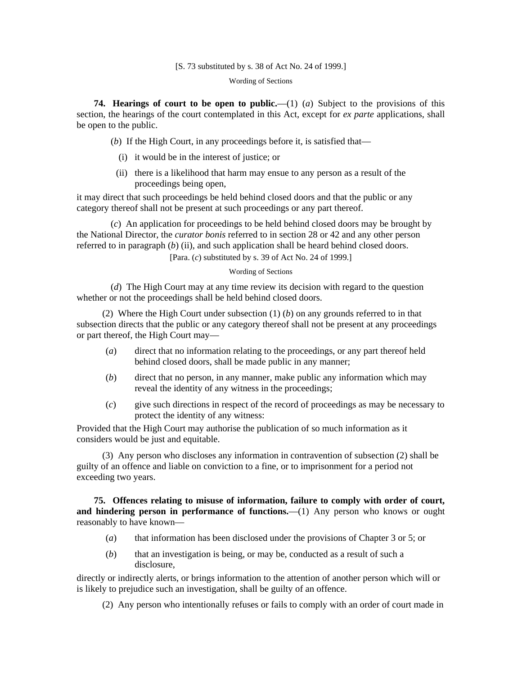## [S. 73 substituted by s. 38 of Act No. 24 of 1999.]

#### Wording of Sections

**74. Hearings of court to be open to public.**—(1) (*a*) Subject to the provisions of this section, the hearings of the court contemplated in this Act, except for *ex parte* applications, shall be open to the public.

(*b*) If the High Court, in any proceedings before it, is satisfied that—

- (i) it would be in the interest of justice; or
- (ii) there is a likelihood that harm may ensue to any person as a result of the proceedings being open,

it may direct that such proceedings be held behind closed doors and that the public or any category thereof shall not be present at such proceedings or any part thereof.

(*c*) An application for proceedings to be held behind closed doors may be brought by the National Director, the *curator bonis* referred to in section 28 or 42 and any other person referred to in paragraph  $(b)$  (ii), and such application shall be heard behind closed doors.

[Para. (*c*) substituted by s. 39 of Act No. 24 of 1999.]

#### Wording of Sections

(*d*) The High Court may at any time review its decision with regard to the question whether or not the proceedings shall be held behind closed doors.

(2) Where the High Court under subsection (1) (*b*) on any grounds referred to in that subsection directs that the public or any category thereof shall not be present at any proceedings or part thereof, the High Court may—

- (*a*) direct that no information relating to the proceedings, or any part thereof held behind closed doors, shall be made public in any manner;
- (*b*) direct that no person, in any manner, make public any information which may reveal the identity of any witness in the proceedings;
- (*c*) give such directions in respect of the record of proceedings as may be necessary to protect the identity of any witness:

Provided that the High Court may authorise the publication of so much information as it considers would be just and equitable.

(3) Any person who discloses any information in contravention of subsection (2) shall be guilty of an offence and liable on conviction to a fine, or to imprisonment for a period not exceeding two years.

**75. Offences relating to misuse of information, failure to comply with order of court, and hindering person in performance of functions.**—(1) Any person who knows or ought reasonably to have known—

- (*a*) that information has been disclosed under the provisions of Chapter 3 or 5; or
- (*b*) that an investigation is being, or may be, conducted as a result of such a disclosure,

directly or indirectly alerts, or brings information to the attention of another person which will or is likely to prejudice such an investigation, shall be guilty of an offence.

(2) Any person who intentionally refuses or fails to comply with an order of court made in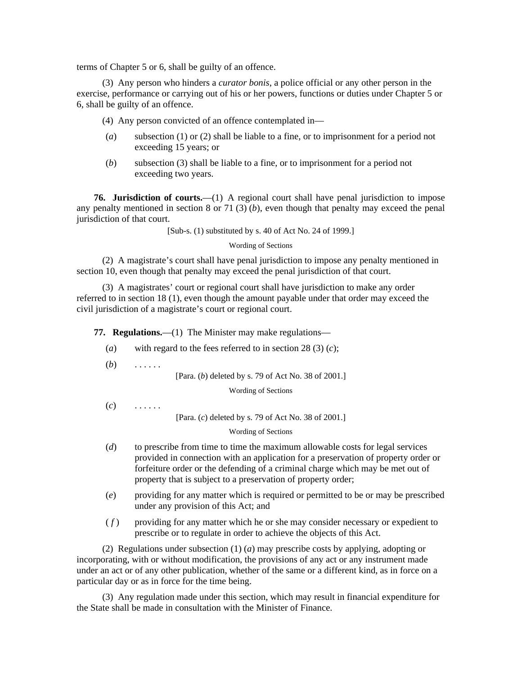terms of Chapter 5 or 6, shall be guilty of an offence.

(3) Any person who hinders a *curator bonis*, a police official or any other person in the exercise, performance or carrying out of his or her powers, functions or duties under Chapter 5 or 6, shall be guilty of an offence.

- (4) Any person convicted of an offence contemplated in—
- (*a*) subsection (1) or (2) shall be liable to a fine, or to imprisonment for a period not exceeding 15 years; or
- (*b*) subsection (3) shall be liable to a fine, or to imprisonment for a period not exceeding two years.

**76. Jurisdiction of courts.**—(1) A regional court shall have penal jurisdiction to impose any penalty mentioned in section 8 or 71  $(3)$  (*b*), even though that penalty may exceed the penal jurisdiction of that court.

[Sub-s. (1) substituted by s. 40 of Act No. 24 of 1999.]

#### Wording of Sections

(2) A magistrate's court shall have penal jurisdiction to impose any penalty mentioned in section 10, even though that penalty may exceed the penal jurisdiction of that court.

(3) A magistrates' court or regional court shall have jurisdiction to make any order referred to in section 18 (1), even though the amount payable under that order may exceed the civil jurisdiction of a magistrate's court or regional court.

**77. Regulations.**—(1) The Minister may make regulations—

- (*a*) with regard to the fees referred to in section 28 (3) (*c*);
- $(b)$  .....

[Para. (*b*) deleted by s. 79 of Act No. 38 of 2001.]

Wording of Sections

 $(c)$  . . . . . . .

[Para. (*c*) deleted by s. 79 of Act No. 38 of 2001.]

Wording of Sections

- (*d*) to prescribe from time to time the maximum allowable costs for legal services provided in connection with an application for a preservation of property order or forfeiture order or the defending of a criminal charge which may be met out of property that is subject to a preservation of property order;
- (*e*) providing for any matter which is required or permitted to be or may be prescribed under any provision of this Act; and
- (*f*) providing for any matter which he or she may consider necessary or expedient to prescribe or to regulate in order to achieve the objects of this Act.

(2) Regulations under subsection (1) (*a*) may prescribe costs by applying, adopting or incorporating, with or without modification, the provisions of any act or any instrument made under an act or of any other publication, whether of the same or a different kind, as in force on a particular day or as in force for the time being.

(3) Any regulation made under this section, which may result in financial expenditure for the State shall be made in consultation with the Minister of Finance.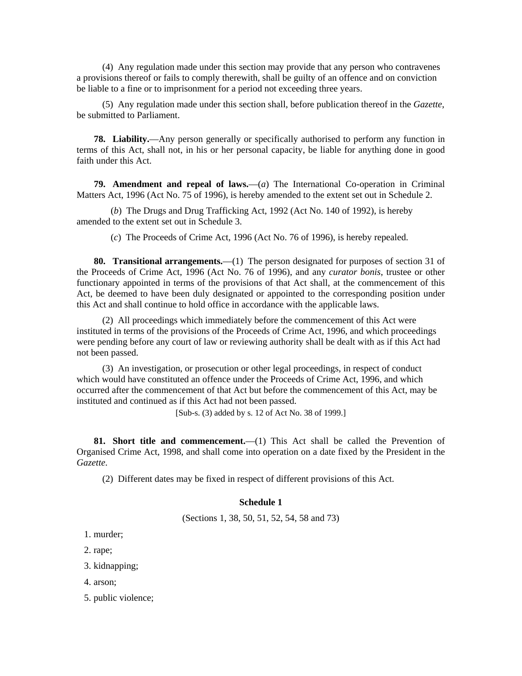(4) Any regulation made under this section may provide that any person who contravenes a provisions thereof or fails to comply therewith, shall be guilty of an offence and on conviction be liable to a fine or to imprisonment for a period not exceeding three years.

(5) Any regulation made under this section shall, before publication thereof in the *Gazette*, be submitted to Parliament.

**78. Liability.**—Any person generally or specifically authorised to perform any function in terms of this Act, shall not, in his or her personal capacity, be liable for anything done in good faith under this Act.

**79. Amendment and repeal of laws.**—(*a*) The International Co-operation in Criminal Matters Act, 1996 (Act No. 75 of 1996), is hereby amended to the extent set out in Schedule 2.

(*b*) The Drugs and Drug Trafficking Act, 1992 (Act No. 140 of 1992), is hereby amended to the extent set out in Schedule 3.

(*c*) The Proceeds of Crime Act, 1996 (Act No. 76 of 1996), is hereby repealed.

**80. Transitional arrangements.**—(1) The person designated for purposes of section 31 of the Proceeds of Crime Act, 1996 (Act No. 76 of 1996), and any *curator bonis*, trustee or other functionary appointed in terms of the provisions of that Act shall, at the commencement of this Act, be deemed to have been duly designated or appointed to the corresponding position under this Act and shall continue to hold office in accordance with the applicable laws.

(2) All proceedings which immediately before the commencement of this Act were instituted in terms of the provisions of the Proceeds of Crime Act, 1996, and which proceedings were pending before any court of law or reviewing authority shall be dealt with as if this Act had not been passed.

(3) An investigation, or prosecution or other legal proceedings, in respect of conduct which would have constituted an offence under the Proceeds of Crime Act, 1996, and which occurred after the commencement of that Act but before the commencement of this Act, may be instituted and continued as if this Act had not been passed.

[Sub-s. (3) added by s. 12 of Act No. 38 of 1999.]

**81. Short title and commencement.**—(1) This Act shall be called the Prevention of Organised Crime Act, 1998, and shall come into operation on a date fixed by the President in the *Gazette*.

(2) Different dates may be fixed in respect of different provisions of this Act.

# **Schedule 1**

(Sections 1, 38, 50, 51, 52, 54, 58 and 73)

- 1. murder;
- 2. rape;
- 3. kidnapping;
- 4. arson;
- 5. public violence;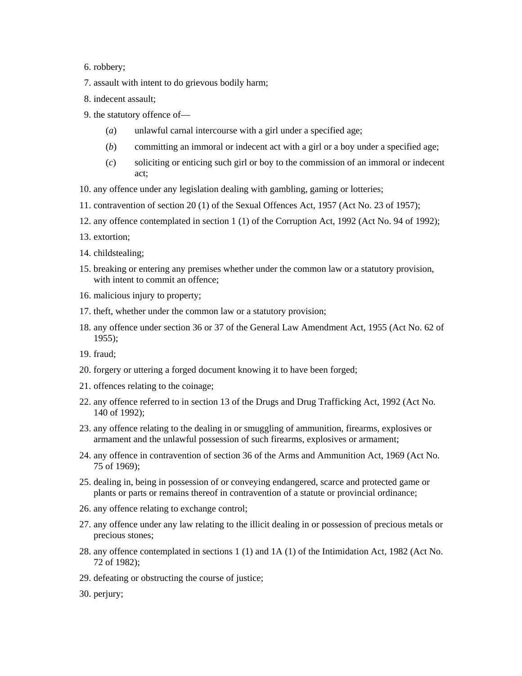6. robbery;

- 7. assault with intent to do grievous bodily harm;
- 8. indecent assault;
- 9. the statutory offence of—
	- (*a*) unlawful carnal intercourse with a girl under a specified age;
	- (*b*) committing an immoral or indecent act with a girl or a boy under a specified age;
	- (*c*) soliciting or enticing such girl or boy to the commission of an immoral or indecent act;
- 10. any offence under any legislation dealing with gambling, gaming or lotteries;
- 11. contravention of section 20 (1) of the Sexual Offences Act, 1957 (Act No. 23 of 1957);
- 12. any offence contemplated in section 1 (1) of the Corruption Act, 1992 (Act No. 94 of 1992);
- 13. extortion;
- 14. childstealing;
- 15. breaking or entering any premises whether under the common law or a statutory provision, with intent to commit an offence;
- 16. malicious injury to property;
- 17. theft, whether under the common law or a statutory provision;
- 18. any offence under section 36 or 37 of the General Law Amendment Act, 1955 (Act No. 62 of 1955);
- 19. fraud;
- 20. forgery or uttering a forged document knowing it to have been forged;
- 21. offences relating to the coinage;
- 22. any offence referred to in section 13 of the Drugs and Drug Trafficking Act, 1992 (Act No. 140 of 1992);
- 23. any offence relating to the dealing in or smuggling of ammunition, firearms, explosives or armament and the unlawful possession of such firearms, explosives or armament;
- 24. any offence in contravention of section 36 of the Arms and Ammunition Act, 1969 (Act No. 75 of 1969);
- 25. dealing in, being in possession of or conveying endangered, scarce and protected game or plants or parts or remains thereof in contravention of a statute or provincial ordinance;
- 26. any offence relating to exchange control;
- 27. any offence under any law relating to the illicit dealing in or possession of precious metals or precious stones;
- 28. any offence contemplated in sections 1 (1) and 1A (1) of the Intimidation Act, 1982 (Act No. 72 of 1982);
- 29. defeating or obstructing the course of justice;
- 30. perjury;